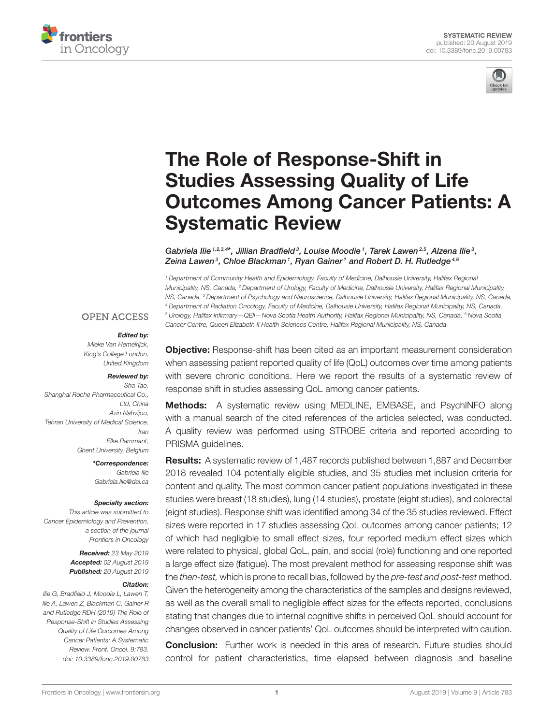



# The Role of Response-Shift in Studies Assessing Quality of Life [Outcomes Among Cancer Patients: A](https://www.frontiersin.org/articles/10.3389/fonc.2019.00783/full) Systematic Review

[Gabriela Ilie](http://loop.frontiersin.org/people/87451/overview)  $1,2,3,4*$ , [Jillian Bradfield](http://loop.frontiersin.org/people/640006/overview) ${}^3$ , [Louise Moodie](http://loop.frontiersin.org/people/743708/overview)  ${}^1$ , Tarek Lawen ${}^{2,5}$ , [Alzena Ilie](http://loop.frontiersin.org/people/788954/overview)  ${}^3$ , Zeina Lawen<sup>3</sup>, [Chloe Blackman](http://loop.frontiersin.org/people/754876/overview)1, [Ryan Gainer](http://loop.frontiersin.org/people/776350/overview)1 and [Robert D. H. Rutledge](http://loop.frontiersin.org/people/790488/overview)<sup>4,6</sup>

*<sup>1</sup> Department of Community Health and Epidemiology, Faculty of Medicine, Dalhousie University, Halifax Regional Municipality, NS, Canada, <sup>2</sup> Department of Urology, Faculty of Medicine, Dalhousie University, Halifax Regional Municipality, NS, Canada, <sup>3</sup> Department of Psychology and Neuroscience, Dalhousie University, Halifax Regional Municipality, NS, Canada, <sup>4</sup> Department of Radiation Oncology, Faculty of Medicine, Dalhousie University, Halifax Regional Municipality, NS, Canada, <sup>5</sup> Urology, Halifax Infirmary—QEII—Nova Scotia Health Authority, Halifax Regional Municipality, NS, Canada, <sup>6</sup> Nova Scotia Cancer Centre, Queen Elizabeth II Health Sciences Centre, Halifax Regional Municipality, NS, Canada*

### **OPEN ACCESS**

### Edited by:

*Mieke Van Hemelrijck, King's College London, United Kingdom*

### Reviewed by:

*Sha Tao, Shanghai Roche Pharmaceutical Co., Ltd, China Azin Nahvijou, Tehran University of Medical Science, Iran Elke Rammant, Ghent University, Belgium*

> \*Correspondence: *Gabriela Ilie [Gabriela.Ilie@dal.ca](mailto:Gabriela.Ilie@dal.ca)*

### Specialty section:

*This article was submitted to Cancer Epidemiology and Prevention, a section of the journal Frontiers in Oncology*

> Received: *23 May 2019* Accepted: *02 August 2019* Published: *20 August 2019*

### Citation:

*Ilie G, Bradfield J, Moodie L, Lawen T, Ilie A, Lawen Z, Blackman C, Gainer R and Rutledge RDH (2019) The Role of Response-Shift in Studies Assessing Quality of Life Outcomes Among Cancer Patients: A Systematic Review. Front. Oncol. 9:783. doi: [10.3389/fonc.2019.00783](https://doi.org/10.3389/fonc.2019.00783)*

**Objective:** Response-shift has been cited as an important measurement consideration when assessing patient reported quality of life (QoL) outcomes over time among patients with severe chronic conditions. Here we report the results of a systematic review of response shift in studies assessing QoL among cancer patients.

Methods: A systematic review using MEDLINE, EMBASE, and PsychINFO along with a manual search of the cited references of the articles selected, was conducted. A quality review was performed using STROBE criteria and reported according to PRISMA guidelines.

Results: A systematic review of 1,487 records published between 1,887 and December 2018 revealed 104 potentially eligible studies, and 35 studies met inclusion criteria for content and quality. The most common cancer patient populations investigated in these studies were breast (18 studies), lung (14 studies), prostate (eight studies), and colorectal (eight studies). Response shift was identified among 34 of the 35 studies reviewed. Effect sizes were reported in 17 studies assessing QoL outcomes among cancer patients; 12 of which had negligible to small effect sizes, four reported medium effect sizes which were related to physical, global QoL, pain, and social (role) functioning and one reported a large effect size (fatigue). The most prevalent method for assessing response shift was the *then-test,* which is prone to recall bias, followed by the *pre-test and post-test* method. Given the heterogeneity among the characteristics of the samples and designs reviewed, as well as the overall small to negligible effect sizes for the effects reported, conclusions stating that changes due to internal cognitive shifts in perceived QoL should account for changes observed in cancer patients' QoL outcomes should be interpreted with caution.

**Conclusion:** Further work is needed in this area of research. Future studies should control for patient characteristics, time elapsed between diagnosis and baseline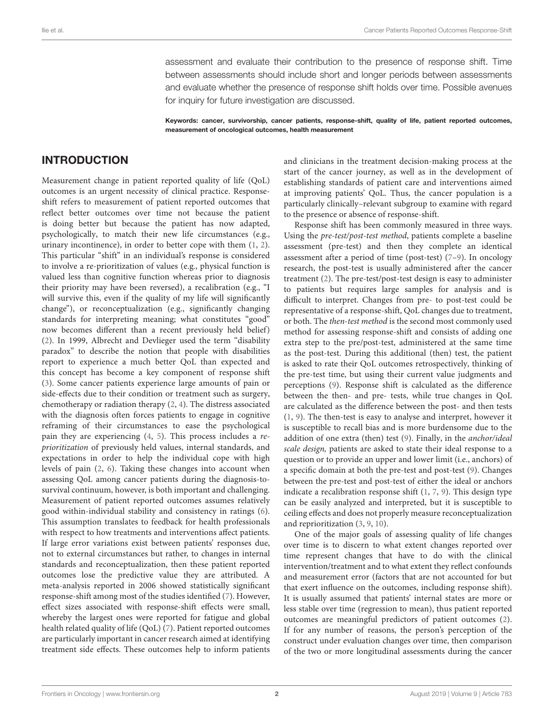assessment and evaluate their contribution to the presence of response shift. Time between assessments should include short and longer periods between assessments and evaluate whether the presence of response shift holds over time. Possible avenues for inquiry for future investigation are discussed.

Keywords: cancer, survivorship, cancer patients, response-shift, quality of life, patient reported outcomes, measurement of oncological outcomes, health measurement

### INTRODUCTION

Measurement change in patient reported quality of life (QoL) outcomes is an urgent necessity of clinical practice. Responseshift refers to measurement of patient reported outcomes that reflect better outcomes over time not because the patient is doing better but because the patient has now adapted, psychologically, to match their new life circumstances (e.g., urinary incontinence), in order to better cope with them [\(1,](#page-23-0) [2\)](#page-23-1). This particular "shift" in an individual's response is considered to involve a re-prioritization of values (e.g., physical function is valued less than cognitive function whereas prior to diagnosis their priority may have been reversed), a recalibration (e.g., "I will survive this, even if the quality of my life will significantly change"), or reconceptualization (e.g., significantly changing standards for interpreting meaning; what constitutes "good" now becomes different than a recent previously held belief) [\(2\)](#page-23-1). In 1999, Albrecht and Devlieger used the term "disability paradox" to describe the notion that people with disabilities report to experience a much better QoL than expected and this concept has become a key component of response shift [\(3\)](#page-23-2). Some cancer patients experience large amounts of pain or side-effects due to their condition or treatment such as surgery, chemotherapy or radiation therapy [\(2,](#page-23-1) [4\)](#page-23-3). The distress associated with the diagnosis often forces patients to engage in cognitive reframing of their circumstances to ease the psychological pain they are experiencing [\(4,](#page-23-3) [5\)](#page-23-4). This process includes a reprioritization of previously held values, internal standards, and expectations in order to help the individual cope with high levels of pain [\(2,](#page-23-1) [6\)](#page-23-5). Taking these changes into account when assessing QoL among cancer patients during the diagnosis-tosurvival continuum, however, is both important and challenging. Measurement of patient reported outcomes assumes relatively good within-individual stability and consistency in ratings [\(6\)](#page-23-5). This assumption translates to feedback for health professionals with respect to how treatments and interventions affect patients. If large error variations exist between patients' responses due, not to external circumstances but rather, to changes in internal standards and reconceptualization, then these patient reported outcomes lose the predictive value they are attributed. A meta-analysis reported in 2006 showed statistically significant response-shift among most of the studies identified [\(7\)](#page-23-6). However, effect sizes associated with response-shift effects were small, whereby the largest ones were reported for fatigue and global health related quality of life (QoL) [\(7\)](#page-23-6). Patient reported outcomes are particularly important in cancer research aimed at identifying treatment side effects. These outcomes help to inform patients and clinicians in the treatment decision-making process at the start of the cancer journey, as well as in the development of establishing standards of patient care and interventions aimed at improving patients' QoL. Thus, the cancer population is a particularly clinically–relevant subgroup to examine with regard to the presence or absence of response-shift.

Response shift has been commonly measured in three ways. Using the pre-test/post-test method, patients complete a baseline assessment (pre-test) and then they complete an identical assessment after a period of time (post-test) [\(7](#page-23-6)[–9\)](#page-23-7). In oncology research, the post-test is usually administered after the cancer treatment [\(2\)](#page-23-1). The pre-test/post-test design is easy to administer to patients but requires large samples for analysis and is difficult to interpret. Changes from pre- to post-test could be representative of a response-shift, QoL changes due to treatment, or both. The then-test method is the second most commonly used method for assessing response-shift and consists of adding one extra step to the pre/post-test, administered at the same time as the post-test. During this additional (then) test, the patient is asked to rate their QoL outcomes retrospectively, thinking of the pre-test time, but using their current value judgments and perceptions [\(9\)](#page-23-7). Response shift is calculated as the difference between the then- and pre- tests, while true changes in QoL are calculated as the difference between the post- and then tests [\(1,](#page-23-0) [9\)](#page-23-7). The then-test is easy to analyse and interpret, however it is susceptible to recall bias and is more burdensome due to the addition of one extra (then) test [\(9\)](#page-23-7). Finally, in the anchor/ideal scale design, patients are asked to state their ideal response to a question or to provide an upper and lower limit (i.e., anchors) of a specific domain at both the pre-test and post-test [\(9\)](#page-23-7). Changes between the pre-test and post-test of either the ideal or anchors indicate a recalibration response shift [\(1,](#page-23-0) [7,](#page-23-6) [9\)](#page-23-7). This design type can be easily analyzed and interpreted, but it is susceptible to ceiling effects and does not properly measure reconceptualization and reprioritization [\(3,](#page-23-2) [9,](#page-23-7) [10\)](#page-23-8).

One of the major goals of assessing quality of life changes over time is to discern to what extent changes reported over time represent changes that have to do with the clinical intervention/treatment and to what extent they reflect confounds and measurement error (factors that are not accounted for but that exert influence on the outcomes, including response shift). It is usually assumed that patients' internal states are more or less stable over time (regression to mean), thus patient reported outcomes are meaningful predictors of patient outcomes [\(2\)](#page-23-1). If for any number of reasons, the person's perception of the construct under evaluation changes over time, then comparison of the two or more longitudinal assessments during the cancer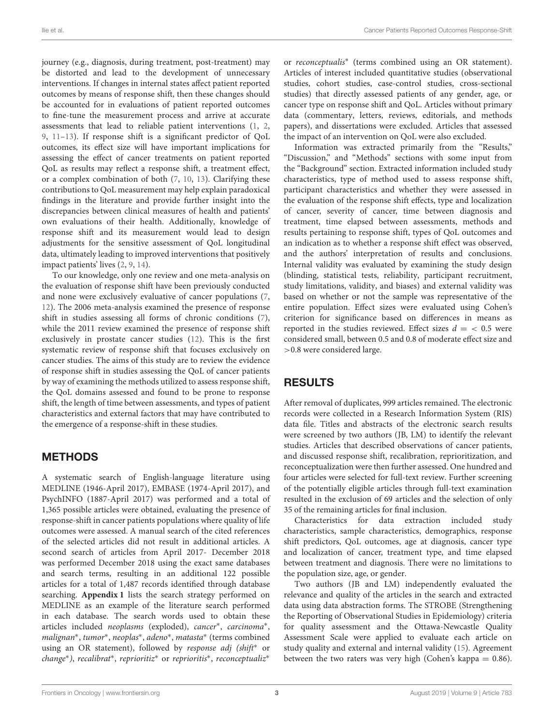journey (e.g., diagnosis, during treatment, post-treatment) may be distorted and lead to the development of unnecessary interventions. If changes in internal states affect patient reported outcomes by means of response shift, then these changes should be accounted for in evaluations of patient reported outcomes to fine-tune the measurement process and arrive at accurate assessments that lead to reliable patient interventions [\(1,](#page-23-0) [2,](#page-23-1) [9,](#page-23-7) [11](#page-23-9)[–13\)](#page-23-10). If response shift is a significant predictor of QoL outcomes, its effect size will have important implications for assessing the effect of cancer treatments on patient reported QoL as results may reflect a response shift, a treatment effect, or a complex combination of both [\(7,](#page-23-6) [10,](#page-23-8) [13\)](#page-23-10). Clarifying these contributions to QoL measurement may help explain paradoxical findings in the literature and provide further insight into the discrepancies between clinical measures of health and patients' own evaluations of their health. Additionally, knowledge of response shift and its measurement would lead to design adjustments for the sensitive assessment of QoL longitudinal data, ultimately leading to improved interventions that positively impact patients' lives [\(2,](#page-23-1) [9,](#page-23-7) [14\)](#page-23-11).

To our knowledge, only one review and one meta-analysis on the evaluation of response shift have been previously conducted and none were exclusively evaluative of cancer populations [\(7,](#page-23-6) [12\)](#page-23-12). The 2006 meta-analysis examined the presence of response shift in studies assessing all forms of chronic conditions [\(7\)](#page-23-6), while the 2011 review examined the presence of response shift exclusively in prostate cancer studies [\(12\)](#page-23-12). This is the first systematic review of response shift that focuses exclusively on cancer studies. The aims of this study are to review the evidence of response shift in studies assessing the QoL of cancer patients by way of examining the methods utilized to assess response shift, the QoL domains assessed and found to be prone to response shift, the length of time between assessments, and types of patient characteristics and external factors that may have contributed to the emergence of a response-shift in these studies.

## METHODS

A systematic search of English-language literature using MEDLINE (1946-April 2017), EMBASE (1974-April 2017), and PsychINFO (1887-April 2017) was performed and a total of 1,365 possible articles were obtained, evaluating the presence of response-shift in cancer patients populations where quality of life outcomes were assessed. A manual search of the cited references of the selected articles did not result in additional articles. A second search of articles from April 2017- December 2018 was performed December 2018 using the exact same databases and search terms, resulting in an additional 122 possible articles for a total of 1,487 records identified through database searching. **[Appendix 1](#page-22-0)** lists the search strategy performed on MEDLINE as an example of the literature search performed in each database. The search words used to obtain these articles included neoplasms (exploded), cancer<sup>\*</sup>, carcinoma<sup>\*</sup>, malignan<sup>\*</sup>, tumor<sup>\*</sup>, neoplas<sup>\*</sup>, adeno<sup>\*</sup>, matasta<sup>\*</sup> (terms combined using an OR statement), followed by response adj (shift<sup>\*</sup> or change<sup>∗</sup>), recalibrat<sup>∗</sup>, reprioritiz<sup>\*</sup> or reprioritis<sup>\*</sup>, reconceptualiz<sup>\*</sup>

or reconceptualis<sup>∗</sup> (terms combined using an OR statement). Articles of interest included quantitative studies (observational studies, cohort studies, case-control studies, cross-sectional studies) that directly assessed patients of any gender, age, or cancer type on response shift and QoL. Articles without primary data (commentary, letters, reviews, editorials, and methods papers), and dissertations were excluded. Articles that assessed the impact of an intervention on QoL were also excluded.

Information was extracted primarily from the "Results," "Discussion," and "Methods" sections with some input from the "Background" section. Extracted information included study characteristics, type of method used to assess response shift, participant characteristics and whether they were assessed in the evaluation of the response shift effects, type and localization of cancer, severity of cancer, time between diagnosis and treatment, time elapsed between assessments, methods and results pertaining to response shift, types of QoL outcomes and an indication as to whether a response shift effect was observed, and the authors' interpretation of results and conclusions. Internal validity was evaluated by examining the study design (blinding, statistical tests, reliability, participant recruitment, study limitations, validity, and biases) and external validity was based on whether or not the sample was representative of the entire population. Effect sizes were evaluated using Cohen's criterion for significance based on differences in means as reported in the studies reviewed. Effect sizes  $d = \langle 0.5 \rangle$  were considered small, between 0.5 and 0.8 of moderate effect size and >0.8 were considered large.

## RESULTS

After removal of duplicates, 999 articles remained. The electronic records were collected in a Research Information System (RIS) data file. Titles and abstracts of the electronic search results were screened by two authors (JB, LM) to identify the relevant studies. Articles that described observations of cancer patients, and discussed response shift, recalibration, reprioritization, and reconceptualization were then further assessed. One hundred and four articles were selected for full-text review. Further screening of the potentially eligible articles through full-text examination resulted in the exclusion of 69 articles and the selection of only 35 of the remaining articles for final inclusion.

Characteristics for data extraction included study characteristics, sample characteristics, demographics, response shift predictors, QoL outcomes, age at diagnosis, cancer type and localization of cancer, treatment type, and time elapsed between treatment and diagnosis. There were no limitations to the population size, age, or gender.

Two authors (JB and LM) independently evaluated the relevance and quality of the articles in the search and extracted data using data abstraction forms. The STROBE (Strengthening the Reporting of Observational Studies in Epidemiology) criteria for quality assessment and the Ottawa-Newcastle Quality Assessment Scale were applied to evaluate each article on study quality and external and internal validity [\(15\)](#page-23-13). Agreement between the two raters was very high (Cohen's kappa  $= 0.86$ ).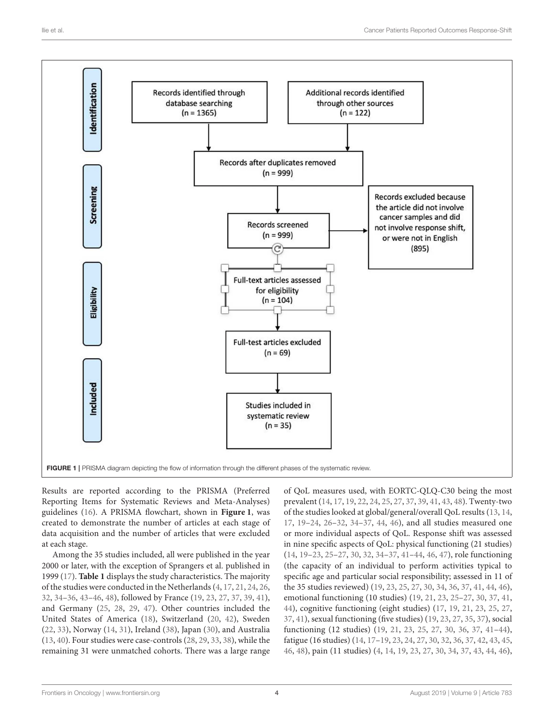

<span id="page-3-0"></span>Results are reported according to the PRISMA (Preferred Reporting Items for Systematic Reviews and Meta-Analyses) guidelines [\(16\)](#page-23-14). A PRISMA flowchart, shown in **[Figure 1](#page-3-0)**, was created to demonstrate the number of articles at each stage of data acquisition and the number of articles that were excluded at each stage.

Among the 35 studies included, all were published in the year 2000 or later, with the exception of Sprangers et al. published in 1999 [\(17\)](#page-23-15). **[Table 1](#page-5-0)** displays the study characteristics. The majority of the studies were conducted in the Netherlands [\(4,](#page-23-3) [17,](#page-23-15) [21,](#page-23-16) [24,](#page-23-17) [26,](#page-23-18) [32,](#page-23-19) [34](#page-23-20)[–36,](#page-23-21) [43–](#page-24-0)[46,](#page-24-1) [48\)](#page-24-2), followed by France [\(19,](#page-23-22) [23,](#page-23-23) [27,](#page-23-24) [37,](#page-23-25) [39,](#page-24-3) [41\)](#page-24-4), and Germany [\(25,](#page-23-26) [28,](#page-23-27) [29,](#page-23-28) [47\)](#page-24-5). Other countries included the United States of America [\(18\)](#page-23-29), Switzerland [\(20,](#page-23-30) [42\)](#page-24-6), Sweden [\(22,](#page-23-31) [33\)](#page-23-32), Norway [\(14,](#page-23-11) [31\)](#page-23-33), Ireland [\(38\)](#page-24-7), Japan [\(30\)](#page-23-34), and Australia [\(13,](#page-23-10) [40\)](#page-24-8). Four studies were case-controls [\(28,](#page-23-27) [29,](#page-23-28) [33,](#page-23-32) [38\)](#page-24-7), while the remaining 31 were unmatched cohorts. There was a large range

of QoL measures used, with EORTC-QLQ-C30 being the most prevalent [\(14,](#page-23-11) [17,](#page-23-15) [19,](#page-23-22) [22,](#page-23-31) [24,](#page-23-17) [25,](#page-23-26) [27,](#page-23-24) [37,](#page-23-25) [39,](#page-24-3) [41,](#page-24-4) [43,](#page-24-0) [48\)](#page-24-2). Twenty-two of the studies looked at global/general/overall QoL results [\(13,](#page-23-10) [14,](#page-23-11) [17,](#page-23-15) [19–](#page-23-22)[24,](#page-23-17) [26](#page-23-18)[–32,](#page-23-19) [34–](#page-23-20)[37,](#page-23-25) [44,](#page-24-9) [46\)](#page-24-1), and all studies measured one or more individual aspects of QoL. Response shift was assessed in nine specific aspects of QoL: physical functioning (21 studies) [\(14,](#page-23-11) [19–](#page-23-22)[23,](#page-23-23) [25](#page-23-26)[–27,](#page-23-24) [30,](#page-23-34) [32,](#page-23-19) [34–](#page-23-20)[37,](#page-23-25) [41](#page-24-4)[–44,](#page-24-9) [46,](#page-24-1) [47\)](#page-24-5), role functioning (the capacity of an individual to perform activities typical to specific age and particular social responsibility; assessed in 11 of the 35 studies reviewed) [\(19,](#page-23-22) [23,](#page-23-23) [25,](#page-23-26) [27,](#page-23-24) [30,](#page-23-34) [34,](#page-23-20) [36,](#page-23-21) [37,](#page-23-25) [41,](#page-24-4) [44,](#page-24-9) [46\)](#page-24-1), emotional functioning (10 studies) [\(19,](#page-23-22) [21,](#page-23-16) [23,](#page-23-23) [25](#page-23-26)[–27,](#page-23-24) [30,](#page-23-34) [37,](#page-23-25) [41,](#page-24-4) [44\)](#page-24-9), cognitive functioning (eight studies) [\(17,](#page-23-15) [19,](#page-23-22) [21,](#page-23-16) [23,](#page-23-23) [25,](#page-23-26) [27,](#page-23-24) [37,](#page-23-25) [41\)](#page-24-4), sexual functioning (five studies) [\(19,](#page-23-22) [23,](#page-23-23) [27,](#page-23-24) [35,](#page-23-35) [37\)](#page-23-25), social functioning (12 studies) [\(19,](#page-23-22) [21,](#page-23-16) [23,](#page-23-23) [25,](#page-23-26) [27,](#page-23-24) [30,](#page-23-34) [36,](#page-23-21) [37,](#page-23-25) [41–](#page-24-4)[44\)](#page-24-9), fatigue (16 studies) [\(14,](#page-23-11) [17–](#page-23-15)[19,](#page-23-22) [23,](#page-23-23) [24,](#page-23-17) [27,](#page-23-24) [30,](#page-23-34) [32,](#page-23-19) [36,](#page-23-21) [37,](#page-23-25) [42,](#page-24-6) [43,](#page-24-0) [45,](#page-24-10) [46,](#page-24-1) [48\)](#page-24-2), pain (11 studies) [\(4,](#page-23-3) [14,](#page-23-11) [19,](#page-23-22) [23,](#page-23-23) [27,](#page-23-24) [30,](#page-23-34) [34,](#page-23-20) [37,](#page-23-25) [43,](#page-24-0) [44,](#page-24-9) [46\)](#page-24-1),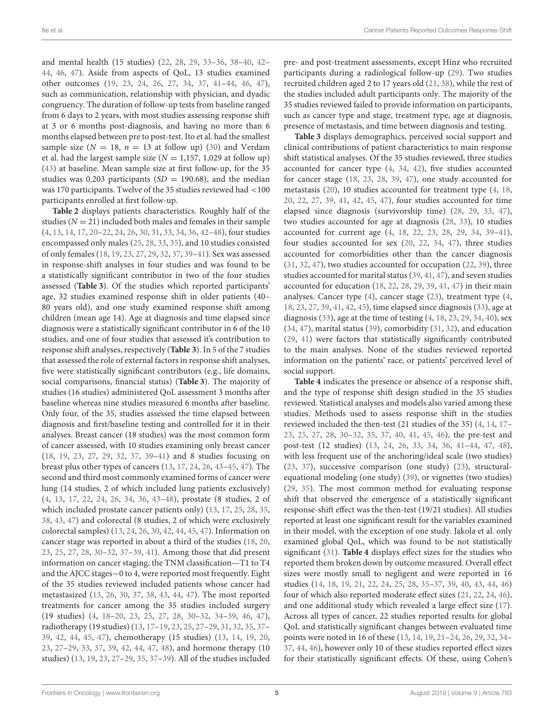and mental health (15 studies) [\(22,](#page-23-31) [28,](#page-23-27) [29,](#page-23-28) [33](#page-23-32)[–36,](#page-23-21) [38](#page-24-7)[–40,](#page-24-8) [42–](#page-24-6) [44,](#page-24-9) [46,](#page-24-1) [47\)](#page-24-5). Aside from aspects of QoL, 13 studies examined other outcomes [\(19,](#page-23-22) [23,](#page-23-23) [24,](#page-23-17) [26,](#page-23-18) [27,](#page-23-24) [34,](#page-23-20) [37,](#page-23-25) [41](#page-24-4)[–44,](#page-24-9) [46,](#page-24-1) [47\)](#page-24-5), such as communication, relationship with physician, and dyadic congruency. The duration of follow-up tests from baseline ranged from 6 days to 2 years, with most studies assessing response shift at 3 or 6 months post-diagnosis, and having no more than 6 months elapsed between pre to post-test. Ito et al. had the smallest sample size ( $N = 18$ ,  $n = 13$  at follow up) [\(30\)](#page-23-34) and Verdam et al. had the largest sample size ( $N = 1,157, 1,029$  at follow up) [\(43\)](#page-24-0) at baseline. Mean sample size at first follow-up, for the 35 studies was 0.203 participants ( $SD = 190.68$ ), and the median was 170 participants. Twelve of the 35 studies reviewed had <100 participants enrolled at first follow-up.

**[Table 2](#page-11-0)** displays patients characteristics. Roughly half of the studies ( $N = 21$ ) included both males and females in their sample [\(4,](#page-23-3) [13,](#page-23-10) [14,](#page-23-11) [17,](#page-23-15) [20](#page-23-30)[–22,](#page-23-31) [24,](#page-23-17) [26,](#page-23-18) [30,](#page-23-34) [31,](#page-23-33) [33,](#page-23-32) [34,](#page-23-20) [36,](#page-23-21) [42](#page-24-6)[–48\)](#page-24-2), four studies encompassed only males [\(25,](#page-23-26) [28,](#page-23-27) [33,](#page-23-32) [35\)](#page-23-35), and 10 studies consisted of only females [\(18,](#page-23-29) [19,](#page-23-22) [23,](#page-23-23) [27,](#page-23-24) [29,](#page-23-28) [32,](#page-23-19) [37,](#page-23-25) [39](#page-24-3)[–41\)](#page-24-4). Sex was assessed in response-shift analyses in four studies and was found to be a statistically significant contributor in two of the four studies assessed (**[Table 3](#page-15-0)**). Of the studies which reported participants' age, 32 studies examined response shift in older patients (40– 80 years old), and one study examined response shift among children (mean age 14). Age at diagnosis and time elapsed since diagnosis were a statistically significant contributor in 6 of the 10 studies, and one of four studies that assessed it's contribution to response shift analyses, respectively (**[Table 3](#page-15-0)**). In 5 of the 7 studies that assessed the role of external factors in response shift analyses, five were statistically significant contributors (e.g., life domains, social comparisons, financial status) (**[Table 3](#page-15-0)**). The majority of studies (16 studies) administered QoL assessment 3 months after baseline whereas nine studies measured 6 months after baseline. Only four, of the 35, studies assessed the time elapsed between diagnosis and first/baseline testing and controlled for it in their analyses. Breast cancer (18 studies) was the most common form of cancer assessed, with 10 studies examining only breast cancer [\(18,](#page-23-29) [19,](#page-23-22) [23,](#page-23-23) [27,](#page-23-24) [29,](#page-23-28) [32,](#page-23-19) [37,](#page-23-25) [39–](#page-24-3)[41\)](#page-24-4) and 8 studies focusing on breast plus other types of cancers [\(13,](#page-23-10) [17,](#page-23-15) [24,](#page-23-17) [26,](#page-23-18) [43–](#page-24-0)[45,](#page-24-10) [47\)](#page-24-5). The second and third most commonly examined forms of cancer were lung (14 studies, 2 of which included lung patients exclusively) [\(4,](#page-23-3) [13,](#page-23-10) [17,](#page-23-15) [22,](#page-23-31) [24,](#page-23-17) [26,](#page-23-18) [34,](#page-23-20) [36,](#page-23-21) [43–](#page-24-0)[48\)](#page-24-2), prostate (8 studies, 2 of which included prostate cancer patients only) [\(13,](#page-23-10) [17,](#page-23-15) [25,](#page-23-26) [28,](#page-23-27) [35,](#page-23-35) [38,](#page-24-7) [43,](#page-24-0) [47\)](#page-24-5) and colorectal (8 studies, 2 of which were exclusively colorectal samples) [\(13,](#page-23-10) [24,](#page-23-17) [26,](#page-23-18) [30,](#page-23-34) [42,](#page-24-6) [44,](#page-24-9) [45,](#page-24-10) [47\)](#page-24-5). Information on cancer stage was reported in about a third of the studies [\(18,](#page-23-29) [20,](#page-23-30) [23,](#page-23-23) [25,](#page-23-26) [27,](#page-23-24) [28,](#page-23-27) [30](#page-23-34)[–32,](#page-23-19) [37](#page-23-25)[–39,](#page-24-3) [41\)](#page-24-4). Among those that did present information on cancer staging, the TNM classification—T1 to T4 and the AJCC stages−0 to 4, were reported most frequently. Eight of the 35 studies reviewed included patients whose cancer had metastasized [\(13,](#page-23-10) [26,](#page-23-18) [30,](#page-23-34) [37,](#page-23-25) [38,](#page-24-7) [43,](#page-24-0) [44,](#page-24-9) [47\)](#page-24-5). The most reported treatments for cancer among the 35 studies included surgery (19 studies) [\(4,](#page-23-3) [18–](#page-23-29)[20,](#page-23-30) [23,](#page-23-23) [25,](#page-23-26) [27,](#page-23-24) [28,](#page-23-27) [30](#page-23-34)[–32,](#page-23-19) [34–](#page-23-20)[39,](#page-24-3) [46,](#page-24-1) [47\)](#page-24-5), radiotherapy (19 studies) [\(13,](#page-23-10) [17](#page-23-15)[–19,](#page-23-22) [23,](#page-23-23) [25,](#page-23-26) [27](#page-23-24)[–29,](#page-23-28) [31,](#page-23-33) [32,](#page-23-19) [35,](#page-23-35) [37–](#page-23-25) [39,](#page-24-3) [42,](#page-24-6) [44,](#page-24-9) [45,](#page-24-10) [47\)](#page-24-5), chemotherapy (15 studies) [\(13,](#page-23-10) [14,](#page-23-11) [19,](#page-23-22) [20,](#page-23-30) [23,](#page-23-23) [27](#page-23-24)[–29,](#page-23-28) [33,](#page-23-32) [37,](#page-23-25) [39,](#page-24-3) [42,](#page-24-6) [44,](#page-24-9) [47,](#page-24-5) [48\)](#page-24-2), and hormone therapy (10 studies) [\(13,](#page-23-10) [19,](#page-23-22) [23,](#page-23-23) [27–](#page-23-24)[29,](#page-23-28) [35,](#page-23-35) [37–](#page-23-25)[39\)](#page-24-3). All of the studies included pre- and post-treatment assessments, except Hinz who recruited participants during a radiological follow-up [\(29\)](#page-23-28). Two studies recruited children aged 2 to 17 years old [\(21,](#page-23-16) [38\)](#page-24-7), while the rest of the studies included adult participants only. The majority of the 35 studies reviewed failed to provide information on participants, such as cancer type and stage, treatment type, age at diagnosis, presence of metastasis, and time between diagnosis and testing.

**[Table 3](#page-15-0)** displays demographics, perceived social support and clinical contributions of patient characteristics to main response shift statistical analyses. Of the 35 studies reviewed, three studies accounted for cancer type [\(4,](#page-23-3) [34,](#page-23-20) [42\)](#page-24-6), five studies accounted for cancer stage [\(18,](#page-23-29) [23,](#page-23-23) [28,](#page-23-27) [39,](#page-24-3) [47\)](#page-24-5), one study accounted for metastasis [\(20\)](#page-23-30), 10 studies accounted for treatment type [\(4,](#page-23-3) [18,](#page-23-29) [20,](#page-23-30) [22,](#page-23-31) [27,](#page-23-24) [39,](#page-24-3) [41,](#page-24-4) [42,](#page-24-6) [45,](#page-24-10) [47\)](#page-24-5), four studies accounted for time elapsed since diagnosis (survivorship time) [\(28,](#page-23-27) [29,](#page-23-28) [33,](#page-23-32) [47\)](#page-24-5), two studies accounted for age at diagnosis [\(28,](#page-23-27) [33\)](#page-23-32), 10 studies accounted for current age [\(4,](#page-23-3) [18,](#page-23-29) [22,](#page-23-31) [23,](#page-23-23) [28,](#page-23-27) [29,](#page-23-28) [34,](#page-23-20) [39–](#page-24-3)[41\)](#page-24-4), four studies accounted for sex [\(20,](#page-23-30) [22,](#page-23-31) [34,](#page-23-20) [47\)](#page-24-5), three studies accounted for comorbidities other than the cancer diagnosis [\(31,](#page-23-33) [32,](#page-23-19) [47\)](#page-24-5), two studies accounted for occupation [\(22,](#page-23-31) [39\)](#page-24-3), three studies accounted for marital status [\(39,](#page-24-3) [41,](#page-24-4) [47\)](#page-24-5), and seven studies accounted for education [\(18,](#page-23-29) [22,](#page-23-31) [28,](#page-23-27) [29,](#page-23-28) [39,](#page-24-3) [41,](#page-24-4) [47\)](#page-24-5) in their main analyses. Cancer type [\(4\)](#page-23-3), cancer stage [\(23\)](#page-23-23), treatment type [\(4,](#page-23-3) [18,](#page-23-29) [23,](#page-23-23) [27,](#page-23-24) [39,](#page-24-3) [41,](#page-24-4) [42,](#page-24-6) [45\)](#page-24-10), time elapsed since diagnosis [\(33\)](#page-23-32), age at diagnosis [\(33\)](#page-23-32), age at the time of testing [\(4,](#page-23-3) [18,](#page-23-29) [23,](#page-23-23) [29,](#page-23-28) [34,](#page-23-20) [40\)](#page-24-8), sex [\(34,](#page-23-20) [47\)](#page-24-5), marital status [\(39\)](#page-24-3), comorbidity [\(31,](#page-23-33) [32\)](#page-23-19), and education [\(29,](#page-23-28) [41\)](#page-24-4) were factors that statistically significantly contributed to the main analyses. None of the studies reviewed reported information on the patients' race, or patients' perceived level of social support.

**[Table 4](#page-17-0)** indicates the presence or absence of a response shift, and the type of response shift design studied in the 35 studies reviewed. Statistical analyses and models also varied among these studies. Methods used to assess response shift in the studies reviewed included the then-test (21 studies of the 35) [\(4,](#page-23-3) [14,](#page-23-11) [17–](#page-23-15) [23,](#page-23-23) [25,](#page-23-26) [27,](#page-23-24) [28,](#page-23-27) [30](#page-23-34)[–32,](#page-23-19) [35,](#page-23-35) [37,](#page-23-25) [40,](#page-24-8) [41,](#page-24-4) [45,](#page-24-10) [46\)](#page-24-1), the pre-test and post-test (12 studies) [\(13,](#page-23-10) [24,](#page-23-17) [26,](#page-23-18) [33,](#page-23-32) [34,](#page-23-20) [36,](#page-23-21) [41–](#page-24-4)[44,](#page-24-9) [47,](#page-24-5) [48\)](#page-24-2), with less frequent use of the anchoring/ideal scale (two studies) [\(23,](#page-23-23) [37\)](#page-23-25), successive comparison (one study) [\(23\)](#page-23-23), structuralequational modeling (one study) [\(39\)](#page-24-3), or vignettes (two studies) [\(29,](#page-23-28) [35\)](#page-23-35). The most common method for evaluating response shift that observed the emergence of a statistically significant response-shift effect was the then-test (19/21 studies). All studies reported at least one significant result for the variables examined in their model, with the exception of one study. Jakola et al. only examined global QoL, which was found to be not statistically significant [\(31\)](#page-23-33). **[Table 4](#page-17-0)** displays effect sizes for the studies who reported them broken down by outcome measured. Overall effect sizes were mostly small to negligent and were reported in 16 studies [\(14,](#page-23-11) [18,](#page-23-29) [19,](#page-23-22) [21,](#page-23-16) [22,](#page-23-31) [24,](#page-23-17) [25,](#page-23-26) [28,](#page-23-27) [35–](#page-23-35)[37,](#page-23-25) [39,](#page-24-3) [40,](#page-24-8) [43,](#page-24-0) [44,](#page-24-9) [46\)](#page-24-1) four of which also reported moderate effect sizes [\(21,](#page-23-16) [22,](#page-23-31) [24,](#page-23-17) [46\)](#page-24-1), and one additional study which revealed a large effect size [\(17\)](#page-23-15). Across all types of cancer, 22 studies reported results for global QoL and statistically significant changes between evaluated time points were noted in 16 of these [\(13,](#page-23-10) [14,](#page-23-11) [19,](#page-23-22) [21–](#page-23-16)[24,](#page-23-17) [26,](#page-23-18) [29,](#page-23-28) [32,](#page-23-19) [34–](#page-23-20) [37,](#page-23-25) [44,](#page-24-9) [46\)](#page-24-1), however only 10 of these studies reported effect sizes for their statistically significant effects. Of these, using Cohen's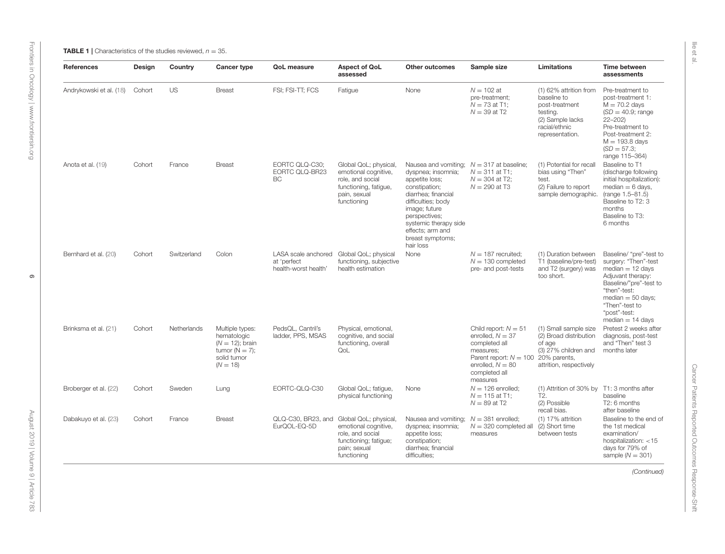Ilie et al.

<span id="page-5-0"></span>

| <b>References</b>       | Design | Country     | <b>Cancer type</b>                                                                                     | <b>QoL</b> measure                                         | <b>Aspect of QoL</b><br>assessed                                                                                          | <b>Other outcomes</b>                                                                                                                                                                                                                                             | Sample size                                                                                                                                                            | Limitations                                                                                                                 | Time between<br>assessments                                                                                                                                                                                                 |
|-------------------------|--------|-------------|--------------------------------------------------------------------------------------------------------|------------------------------------------------------------|---------------------------------------------------------------------------------------------------------------------------|-------------------------------------------------------------------------------------------------------------------------------------------------------------------------------------------------------------------------------------------------------------------|------------------------------------------------------------------------------------------------------------------------------------------------------------------------|-----------------------------------------------------------------------------------------------------------------------------|-----------------------------------------------------------------------------------------------------------------------------------------------------------------------------------------------------------------------------|
| Andrykowski et al. (18) | Cohort | <b>US</b>   | <b>Breast</b>                                                                                          | FSI: FSI-TT: FCS                                           | Fatigue                                                                                                                   | None                                                                                                                                                                                                                                                              | $N = 102$ at<br>pre-treatment:<br>$N = 73$ at T1;<br>$N = 39$ at T2                                                                                                    | (1) 62% attrition from<br>baseline to<br>post-treatment<br>testing.<br>(2) Sample lacks<br>racial/ethnic<br>representation. | Pre-treatment to<br>post-treatment 1:<br>$M = 70.2$ days<br>$(SD = 40.9; \text{range})$<br>$22 - 202$<br>Pre-treatment to<br>Post-treatment 2:<br>$M = 193.8$ days<br>$(SD = 57.3;$<br>range 115-364)                       |
| Anota et al. (19)       | Cohort | France      | <b>Breast</b>                                                                                          | EORTC QLQ-C30:<br>EORTC QLQ-BR23<br><b>BC</b>              | Global QoL; physical,<br>emotional cognitive,<br>role, and social<br>functioning, fatigue,<br>pain, sexual<br>functioning | Nausea and vomiting; $N = 317$ at baseline;<br>dyspnea; insomnia;<br>appetite loss;<br>constipation;<br>diarrhea; financial<br>difficulties; body<br>image; future<br>perspectives;<br>systemic therapy side<br>effects; arm and<br>breast symptoms;<br>hair loss | $N = 311$ at T1:<br>$N = 304$ at T2:<br>$N = 290$ at T3                                                                                                                | (1) Potential for recall<br>bias using "Then"<br>test.<br>(2) Failure to report<br>sample demographic.                      | Baseline to T1<br>(discharge following<br>initial hospitalization):<br>$median = 6$ days,<br>(range 1.5-81.5)<br>Baseline to T2: 3<br>months<br>Baseline to T3:<br>6 months                                                 |
| Bernhard et al. (20)    | Cohort | Switzerland | Colon                                                                                                  | LASA scale anchored<br>at 'perfect<br>health-worst health' | Global QoL; physical<br>functioning, subjective<br>health estimation                                                      | None                                                                                                                                                                                                                                                              | $N = 187$ recruited;<br>$N = 130$ completed<br>pre- and post-tests                                                                                                     | (1) Duration between<br>T1 (baseline/pre-test)<br>and T2 (surgery) was<br>too short.                                        | Baseline/ "pre"-test to<br>surgery: "Then"-test<br>$median = 12 \text{ days}$<br>Adjuvant therapy:<br>Baseline/"pre"-test to<br>"then"-test:<br>$median = 50$ days;<br>"Then"-test to<br>"post"-test:<br>$median = 14$ days |
| Brinksma et al. (21)    | Cohort | Netherlands | Multiple types:<br>hematologic<br>$(N = 12)$ ; brain<br>tumor $(N = 7)$ :<br>solid tumor<br>$(N = 18)$ | PedsQL, Cantril's<br>ladder, PPS, MSAS                     | Physical, emotional,<br>cognitive, and social<br>functioning, overall<br>QoL                                              |                                                                                                                                                                                                                                                                   | Child report: $N = 51$<br>enrolled, $N = 37$<br>completed all<br>measures;<br>Parent report: $N = 10020\%$ parents,<br>enrolled, $N = 80$<br>completed all<br>measures | (1) Small sample size<br>(2) Broad distribution<br>of age<br>(3) 27% children and<br>attrition, respectively                | Pretest 2 weeks after<br>diagnosis, post-test<br>and "Then" test 3<br>months later                                                                                                                                          |
| Broberger et al. (22)   | Cohort | Sweden      | Lung                                                                                                   | EORTC-QLQ-C30                                              | Global QoL; fatigue,<br>physical functioning                                                                              | None                                                                                                                                                                                                                                                              | $N = 126$ enrolled;<br>$N = 115$ at T1:<br>$N = 89$ at T2                                                                                                              | (1) Attrition of 30% by<br>T <sub>2</sub> .<br>(2) Possible<br>recall bias.                                                 | T1: 3 months after<br>baseline<br>T2: 6 months<br>after baseline                                                                                                                                                            |
| Dabakuyo et al. (23)    | Cohort | France      | <b>Breast</b>                                                                                          | QLQ-C30, BR23, and<br>EurQOL-EQ-5D                         | Global QoL; physical,<br>emotional cognitive,<br>role, and social<br>functioning; fatigue;<br>pain; sexual<br>functioning | Nausea and vomiting;<br>dyspnea; insomnia;<br>appetite loss;<br>constipation;<br>diarrhea; financial<br>difficulties;                                                                                                                                             | $N = 381$ enrolled;<br>$N = 320$ completed all<br>measures                                                                                                             | $(1)$ 17% attrition<br>(2) Short time<br>between tests                                                                      | Baseline to the end of<br>the 1st medical<br>examination/<br>hospitalization: <15<br>days for 79% of<br>sample ( $N = 301$ )                                                                                                |
|                         |        |             |                                                                                                        |                                                            |                                                                                                                           |                                                                                                                                                                                                                                                                   |                                                                                                                                                                        |                                                                                                                             | (Continued)                                                                                                                                                                                                                 |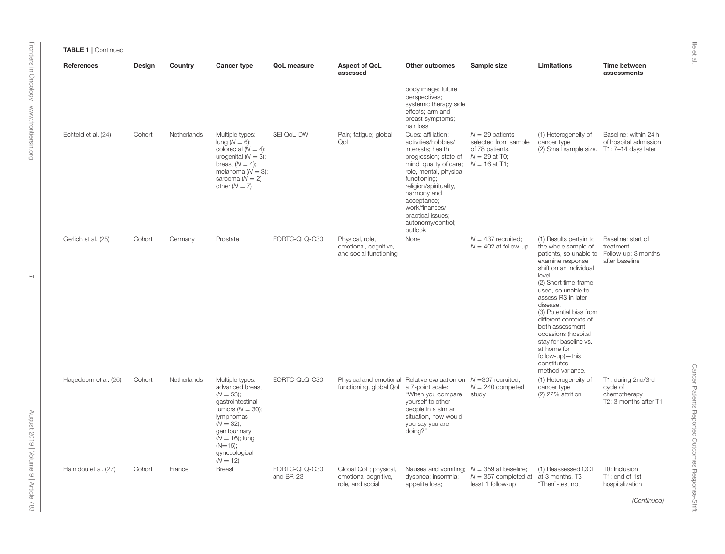| <b>TABLE 1   Continued</b> |
|----------------------------|
|                            |

| <b>References</b>     | Design | Country     | <b>Cancer type</b>                                                                                                                                                                                         | <b>QoL</b> measure         | <b>Aspect of QoL</b><br>assessed                                                                               | <b>Other outcomes</b>                                                                                                                                                                                                                                                                      | Sample size                                                                                        | Limitations                                                                                                                                                                                                                                                                                                                                                                                                                     | Time between<br>assessments                                             |
|-----------------------|--------|-------------|------------------------------------------------------------------------------------------------------------------------------------------------------------------------------------------------------------|----------------------------|----------------------------------------------------------------------------------------------------------------|--------------------------------------------------------------------------------------------------------------------------------------------------------------------------------------------------------------------------------------------------------------------------------------------|----------------------------------------------------------------------------------------------------|---------------------------------------------------------------------------------------------------------------------------------------------------------------------------------------------------------------------------------------------------------------------------------------------------------------------------------------------------------------------------------------------------------------------------------|-------------------------------------------------------------------------|
|                       |        |             |                                                                                                                                                                                                            |                            |                                                                                                                | body image; future<br>perspectives;<br>systemic therapy side<br>effects; arm and<br>breast symptoms;<br>hair loss                                                                                                                                                                          |                                                                                                    |                                                                                                                                                                                                                                                                                                                                                                                                                                 |                                                                         |
| Echteld et al. (24)   | Cohort | Netherlands | Multiple types:<br>lung $(N = 6)$ ;<br>colorectal $(N = 4)$ ;<br>urogenital ( $N = 3$ );<br>breast $(N = 4)$ ;<br>melanoma ( $N = 3$ );<br>sarcoma $(N = 2)$<br>other $(N = 7)$                            | SEI QoL-DW                 | Pain; fatigue; global<br>QoL                                                                                   | Cues: affiliation;<br>activities/hobbies/<br>interests; health<br>progression; state of<br>mind; quality of care;<br>role, mental, physical<br>functioning;<br>religion/spirituality,<br>harmony and<br>acceptance;<br>work/finances/<br>practical issues:<br>autonomy/control;<br>outlook | $N = 29$ patients<br>selected from sample<br>of 78 patients.<br>$N = 29$ at T0:<br>$N = 16$ at T1; | (1) Heterogeneity of<br>cancer type<br>(2) Small sample size. T1: 7-14 days later                                                                                                                                                                                                                                                                                                                                               | Baseline: within 24 h<br>of hospital admission                          |
| Gerlich et al. (25)   | Cohort | Germany     | Prostate                                                                                                                                                                                                   | EORTC-QLQ-C30              | Physical, role,<br>emotional, cognitive,<br>and social functioning                                             | None                                                                                                                                                                                                                                                                                       | $N = 437$ recruited;<br>$N = 402$ at follow-up                                                     | (1) Results pertain to<br>the whole sample of<br>patients, so unable to Follow-up: 3 months<br>examine response<br>shift on an individual<br>level.<br>(2) Short time-frame<br>used, so unable to<br>assess RS in later<br>disease.<br>(3) Potential bias from<br>different contexts of<br>both assessment<br>occasions (hospital<br>stay for baseline vs.<br>at home for<br>follow-up)-this<br>constitutes<br>method variance. | Baseline: start of<br>treatment<br>after baseline                       |
| Hagedoorn et al. (26) | Cohort | Netherlands | Multiple types:<br>advanced breast<br>$(N = 53);$<br>gastrointestinal<br>tumors $(N = 30)$ ;<br>lymphomas<br>$(N = 32);$<br>genitourinary<br>$(N = 16)$ ; lung<br>$(N=15);$<br>gynecological<br>$(N = 12)$ | EORTC-QLQ-C30              | Physical and emotional Relative evaluation on $N = 307$ recruited;<br>functioning, global QoL a 7-point scale: | "When you compare<br>yourself to other<br>people in a similar<br>situation, how would<br>you say you are<br>doing?"                                                                                                                                                                        | $N = 240$ competed<br>study                                                                        | (1) Heterogeneity of<br>cancer type<br>$(2)$ 22% attrition                                                                                                                                                                                                                                                                                                                                                                      | T1: during 2nd/3rd<br>cycle of<br>chemotherapy<br>T2: 3 months after T1 |
| Hamidou et al. (27)   | Cohort | France      | <b>Breast</b>                                                                                                                                                                                              | EORTC-QLQ-C30<br>and BR-23 | Global QoL; physical,<br>emotional cognitive,<br>role, and social                                              | Nausea and vomiting; $N = 359$ at baseline;<br>dyspnea; insomnia;<br>appetite loss;                                                                                                                                                                                                        | $N = 357$ completed at at 3 months, T3<br>least 1 follow-up                                        | (1) Reassessed QOL<br>"Then"-test not                                                                                                                                                                                                                                                                                                                                                                                           | T0: Inclusion<br>T1: end of 1st<br>hospitalization                      |

Ilie et al.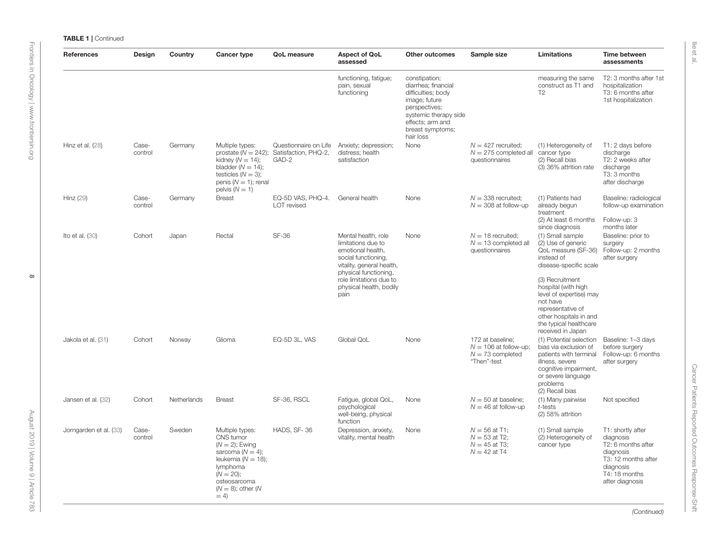| References             | Design           | Country     | <b>Cancer type</b>                                                                                                                                                                | QoL measure                                            | <b>Aspect of QoL</b><br>assessed                                                                                                                                                                          | <b>Other outcomes</b>                                                                                                                                                      | Sample size                                                                      | Limitations                                                                                                                                                                                                                                                                          | Time between<br>assessments                                                                                                               |
|------------------------|------------------|-------------|-----------------------------------------------------------------------------------------------------------------------------------------------------------------------------------|--------------------------------------------------------|-----------------------------------------------------------------------------------------------------------------------------------------------------------------------------------------------------------|----------------------------------------------------------------------------------------------------------------------------------------------------------------------------|----------------------------------------------------------------------------------|--------------------------------------------------------------------------------------------------------------------------------------------------------------------------------------------------------------------------------------------------------------------------------------|-------------------------------------------------------------------------------------------------------------------------------------------|
|                        |                  |             |                                                                                                                                                                                   |                                                        | functioning, fatique;<br>pain, sexual<br>functioning                                                                                                                                                      | constipation;<br>diarrhea; financial<br>difficulties; body<br>image; future<br>perspectives;<br>systemic therapy side<br>effects; arm and<br>breast symptoms;<br>hair loss |                                                                                  | measuring the same<br>construct as T1 and<br>T <sub>2</sub>                                                                                                                                                                                                                          | T2: 3 months after 1st<br>hospitalization<br>T3: 6 months after<br>1st hospitalization                                                    |
| Hinz et al. (28)       | Case-<br>control | Germany     | Multiple types:<br>prostate $(N = 242)$ ;<br>kidney ( $N = 14$ );<br>bladder $(N = 14)$ ;<br>testicles $(N = 3)$ ;<br>penis $(N = 1)$ ; renal<br>pelvis $(N = 1)$                 | Questionnaire on Life<br>Satisfaction, PHQ-2,<br>GAD-2 | Anxiety; depression;<br>distress; health<br>satisfaction                                                                                                                                                  | None                                                                                                                                                                       | $N = 427$ recruited:<br>$N = 275$ completed all<br>questionnaires                | (1) Heterogeneity of<br>cancer type<br>(2) Recall bias<br>(3) 36% attrition rate                                                                                                                                                                                                     | T1: 2 days before<br>discharge<br>T2: 2 weeks after<br>discharge<br>T3: 3 months<br>after discharge                                       |
| Hinz (29)              | Case-<br>control | Germany     | <b>Breast</b>                                                                                                                                                                     | EQ-5D VAS, PHQ-4.<br>LOT revised                       | General health                                                                                                                                                                                            | None                                                                                                                                                                       | $N = 338$ recruited;<br>$N = 308$ at follow-up                                   | (1) Patients had<br>already begun<br>treatment<br>(2) At least 6 months<br>since diagnosis                                                                                                                                                                                           | Baseline: radiological<br>follow-up examination<br>Follow-up: 3<br>months later                                                           |
| Ito et al. $(30)$      | Cohort           | Japan       | Rectal                                                                                                                                                                            | <b>SF-36</b>                                           | Mental health, role<br>limitations due to<br>emotional health,<br>social functioning,<br>vitality, general health,<br>physical functioning,<br>role limitations due to<br>physical health, bodily<br>pain | None                                                                                                                                                                       | $N = 18$ recruited:<br>$N = 13$ completed all<br>questionnaires                  | (1) Small sample<br>(2) Use of generic<br>QoL measure (SF-36)<br>instead of<br>disease-specific scale<br>(3) Recruitment<br>hospital (with high<br>level of expertise) may<br>not have<br>representative of<br>other hospitals in and<br>the typical healthcare<br>received in Japan | Baseline: prior to<br>surgery<br>Follow-up: 2 months<br>after surgery                                                                     |
| Jakola et al. (31)     | Cohort           | Norway      | Glioma                                                                                                                                                                            | EQ-5D 3L, VAS                                          | Global QoL                                                                                                                                                                                                | None                                                                                                                                                                       | 172 at baseline;<br>$N = 106$ at follow-up;<br>$N = 73$ completed<br>"Then"-test | (1) Potential selection<br>bias via exclusion of<br>patients with terminal<br>illness, severe<br>cognitive impairment,<br>or severe language<br>problems<br>(2) Recall bias                                                                                                          | Baseline: 1-3 days<br>before surgery<br>Follow-up: 6 months<br>after surgery                                                              |
| Jansen et al. (32)     | Cohort           | Netherlands | <b>Breast</b>                                                                                                                                                                     | SF-36, RSCL                                            | Fatigue, global QoL,<br>psychological<br>well-being, physical<br>function                                                                                                                                 | None                                                                                                                                                                       | $N = 50$ at baseline;<br>$N = 46$ at follow-up                                   | (1) Many pairwise<br>t-tests<br>(2) 58% attrition                                                                                                                                                                                                                                    | Not specified                                                                                                                             |
| Jorngarden et al. (33) | Case-<br>control | Sweden      | Multiple types:<br>CNS tumor<br>$(N = 2)$ ; Ewing<br>sarcoma ( $N = 4$ );<br>leukemia ( $N = 18$ );<br>lymphoma<br>$(N = 20);$<br>osteosarcoma<br>$(N = 8)$ ; other $(N$<br>$= 4$ | HADS, SF-36                                            | Depression, anxiety,<br>vitality, mental health                                                                                                                                                           | None                                                                                                                                                                       | $N = 56$ at T1:<br>$N = 53$ at T2;<br>$N = 45$ at T3:<br>$N = 42$ at T4          | (1) Small sample<br>(2) Heterogeneity of<br>cancer type                                                                                                                                                                                                                              | T1: shortly after<br>diagnosis<br>T2: 6 months after<br>diagnosis<br>T3: 12 months after<br>diagnosis<br>T4: 18 months<br>after diagnosis |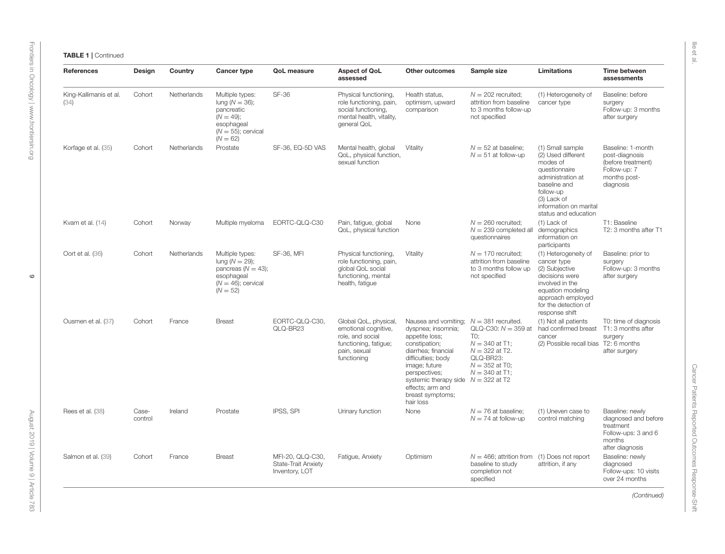| <b>References</b>              | Design           | Country     | <b>Cancer type</b>                                                                                                      | <b>QoL</b> measure                                        | <b>Aspect of QoL</b><br>assessed                                                                                          | <b>Other outcomes</b>                                                                                                                                                                                                                                      | Sample size                                                                                                                                       | <b>Limitations</b>                                                                                                                                                                     | Time between<br>assessments                                                                              |
|--------------------------------|------------------|-------------|-------------------------------------------------------------------------------------------------------------------------|-----------------------------------------------------------|---------------------------------------------------------------------------------------------------------------------------|------------------------------------------------------------------------------------------------------------------------------------------------------------------------------------------------------------------------------------------------------------|---------------------------------------------------------------------------------------------------------------------------------------------------|----------------------------------------------------------------------------------------------------------------------------------------------------------------------------------------|----------------------------------------------------------------------------------------------------------|
| King-Kallimanis et al.<br>(34) | Cohort           | Netherlands | Multiple types:<br>lung ( $N = 36$ );<br>pancreatic<br>$(N = 49);$<br>esophageal<br>$(N = 55)$ ; cervical<br>$(N = 62)$ | <b>SF-36</b>                                              | Physical functioning,<br>role functioning, pain,<br>social functioning,<br>mental health, vitality,<br>general QoL        | Health status.<br>optimism, upward<br>comparison                                                                                                                                                                                                           | $N = 202$ recruited:<br>attrition from baseline<br>to 3 months follow-up<br>not specified                                                         | (1) Heterogeneity of<br>cancer type                                                                                                                                                    | Baseline: before<br>surgery<br>Follow-up: 3 months<br>after surgery                                      |
| Korfage et al. (35)            | Cohort           | Netherlands | Prostate                                                                                                                | SF-36, EQ-5D VAS                                          | Mental health, global<br>QoL, physical function,<br>sexual function                                                       | Vitality                                                                                                                                                                                                                                                   | $N = 52$ at baseline;<br>$N = 51$ at follow-up                                                                                                    | (1) Small sample<br>(2) Used different<br>modes of<br>questionnaire<br>administration at<br>baseline and<br>follow-up<br>(3) Lack of<br>information on marital<br>status and education | Baseline: 1-month<br>post-diagnosis<br>(before treatment)<br>Follow-up: 7<br>months post-<br>diagnosis   |
| Kvam et al. (14)               | Cohort           | Norway      | Multiple myeloma                                                                                                        | EORTC-QLQ-C30                                             | Pain, fatigue, global<br>QoL, physical function                                                                           | None                                                                                                                                                                                                                                                       | $N = 260$ recruited;<br>$N = 239$ completed all<br>questionnaires                                                                                 | $(1)$ Lack of<br>demographics<br>information on<br>participants                                                                                                                        | T1: Baseline<br>T2: 3 months after T1                                                                    |
| Oort et al. (36)               | Cohort           | Netherlands | Multiple types:<br>lung ( $N = 29$ );<br>pancreas $(N = 43)$ ;<br>esophageal<br>$(N = 46)$ ; cervical<br>$(N = 52)$     | <b>SF-36, MFI</b>                                         | Physical functioning,<br>role functioning, pain,<br>global QoL social<br>functioning, mental<br>health, fatique           | Vitality                                                                                                                                                                                                                                                   | $N = 170$ recruited;<br>attrition from baseline<br>to 3 months follow up<br>not specified                                                         | (1) Heterogeneity of<br>cancer type<br>(2) Subjective<br>decisions were<br>involved in the<br>equation modeling<br>approach employed<br>for the detection of<br>response shift         | Baseline: prior to<br>surgery<br>Follow-up: 3 months<br>after surgery                                    |
| Ousmen et al. (37)             | Cohort           | France      | <b>Breast</b>                                                                                                           | EORTC-QLQ-C30.<br>QLQ-BR23                                | Global QoL, physical,<br>emotional cognitive,<br>role, and social<br>functioning, fatique;<br>pain, sexual<br>functioning | Nausea and vomiting;<br>dyspnea; insomnia;<br>appetite loss;<br>constipation;<br>diarrhea; financial<br>difficulties; body<br>image; future<br>perspectives;<br>systemic therapy side $N = 322$ at T2<br>effects; arm and<br>breast symptoms;<br>hair loss | $N = 381$ recruited.<br>QLQ-C30: $N = 359$ at<br>TO:<br>$N = 340$ at T1;<br>$N = 322$ at T2.<br>QLQ-BR23:<br>$N = 352$ at T0;<br>$N = 340$ at T1: | (1) Not all patients<br>had confirmed breast<br>cancer<br>(2) Possible recall bias T2: 6 months                                                                                        | T0: time of diagnosis<br>T1: 3 months after<br>surgery<br>after surgery                                  |
| Rees et al. (38)               | Case-<br>control | Ireland     | Prostate                                                                                                                | IPSS, SPI                                                 | Urinary function                                                                                                          | None                                                                                                                                                                                                                                                       | $N = 76$ at baseline;<br>$N = 74$ at follow-up                                                                                                    | (1) Uneven case to<br>control matching                                                                                                                                                 | Baseline: newly<br>diagnosed and before<br>treatment<br>Follow-ups: 3 and 6<br>months<br>after diagnosis |
| Salmon et al. (39)             | Cohort           | France      | <b>Breast</b>                                                                                                           | MFI-20, QLQ-C30,<br>State-Trait Anxiety<br>Inventory, LOT | Fatigue, Anxiety                                                                                                          | Optimism                                                                                                                                                                                                                                                   | $N = 466$ ; attrition from<br>baseline to study<br>completion not<br>specified                                                                    | (1) Does not report<br>attrition, if any                                                                                                                                               | Baseline: newly<br>diagnosed<br>Follow-ups: 10 visits<br>over 24 months                                  |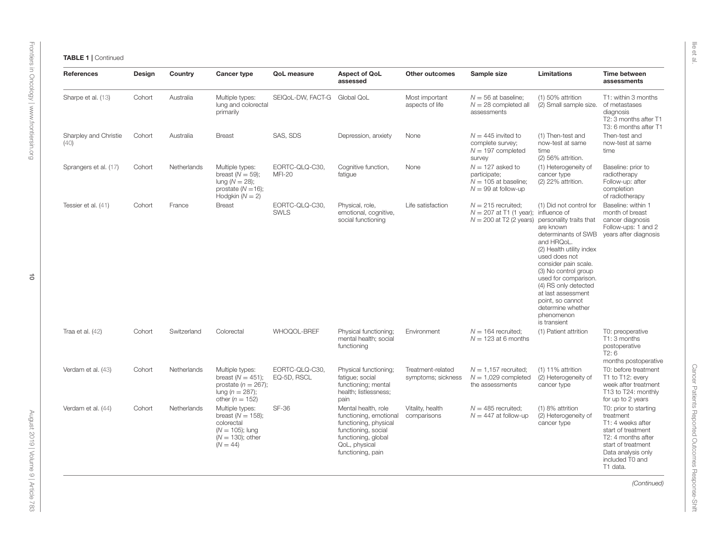| References                    | Design | Country     | <b>Cancer type</b>                                                                                               | QoL measure                     | <b>Aspect of QoL</b><br>assessed                                                                                                                           | Other outcomes                          | Sample size                                                                           | Limitations                                                                                                                                                                                                                                                                                                                                                                          | Time between<br>assessments                                                                                                                                                    |
|-------------------------------|--------|-------------|------------------------------------------------------------------------------------------------------------------|---------------------------------|------------------------------------------------------------------------------------------------------------------------------------------------------------|-----------------------------------------|---------------------------------------------------------------------------------------|--------------------------------------------------------------------------------------------------------------------------------------------------------------------------------------------------------------------------------------------------------------------------------------------------------------------------------------------------------------------------------------|--------------------------------------------------------------------------------------------------------------------------------------------------------------------------------|
| Sharpe et al. (13)            | Cohort | Australia   | Multiple types:<br>lung and colorectal<br>primarily                                                              | SEIQOL-DW, FACT-G               | Global QoL                                                                                                                                                 | Most important<br>aspects of life       | $N = 56$ at baseline:<br>$N = 28$ completed all<br>assessments                        | $(1)$ 50% attrition<br>(2) Small sample size.                                                                                                                                                                                                                                                                                                                                        | T1: within 3 months<br>of metastases<br>diagnosis<br>T2: 3 months after T1<br>T3: 6 months after T1                                                                            |
| Sharpley and Christie<br>(40) | Cohort | Australia   | <b>Breast</b>                                                                                                    | SAS, SDS                        | Depression, anxiety                                                                                                                                        | None                                    | $N = 445$ invited to<br>complete survey:<br>$N = 197$ completed<br>survey             | (1) Then-test and<br>now-test at same<br>time<br>(2) 56% attrition.                                                                                                                                                                                                                                                                                                                  | Then-test and<br>now-test at same<br>time                                                                                                                                      |
| Sprangers et al. (17)         | Cohort | Netherlands | Multiple types:<br>breast $(N = 59)$ ;<br>lung $(N = 28)$ ;<br>prostate $(N=16)$ ;<br>Hodgkin $(N = 2)$          | EORTC-QLQ-C30,<br><b>MFI-20</b> | Cognitive function,<br>fatigue                                                                                                                             | None                                    | $N = 127$ asked to<br>participate;<br>$N = 105$ at baseline;<br>$N = 99$ at follow-up | (1) Heterogeneity of<br>cancer type<br>$(2)$ 22% attrition.                                                                                                                                                                                                                                                                                                                          | Baseline: prior to<br>radiotherapy<br>Follow-up: after<br>completion<br>of radiotherapy                                                                                        |
| Tessier et al. (41)           | Cohort | France      | <b>Breast</b>                                                                                                    | EORTC-QLQ-C30,<br><b>SWLS</b>   | Physical, role,<br>emotional, cognitive,<br>social functioning                                                                                             | Life satisfaction                       | $N = 215$ recruited;<br>$N = 207$ at T1 (1 year);<br>$N = 200$ at T2 (2 years)        | (1) Did not control for<br>influence of<br>personality traits that<br>are known<br>determinants of SWB years after diagnosis<br>and HRQoL.<br>(2) Health utility index<br>used does not<br>consider pain scale.<br>(3) No control group<br>used for comparison.<br>(4) RS only detected<br>at last assessment<br>point, so cannot<br>determine whether<br>phenomenon<br>is transient | Baseline: within 1<br>month of breast<br>cancer diagnosis<br>Follow-ups: 1 and 2                                                                                               |
| Traa et al. $(42)$            | Cohort | Switzerland | Colorectal                                                                                                       | WHOQOL-BREF                     | Physical functioning;<br>mental health; social<br>functioning                                                                                              | Environment                             | $N = 164$ recruited;<br>$N = 123$ at 6 months                                         | (1) Patient attrition                                                                                                                                                                                                                                                                                                                                                                | T0: preoperative<br>T1: 3 months<br>postoperative<br>T2:6<br>months postoperative                                                                                              |
| Verdam et al. (43)            | Cohort | Netherlands | Multiple types:<br>breast $(N = 451)$ ;<br>prostate ( $n = 267$ );<br>lung ( $n = 287$ );<br>other ( $n = 152$ ) | EORTC-QLQ-C30.<br>EQ-5D, RSCL   | Physical functioning;<br>fatique; social<br>functioning; mental<br>health; listlessness;<br>pain                                                           | Treatment-related<br>symptoms; sickness | $N = 1.157$ recruited:<br>$N = 1,029$ completed<br>the assessments                    | $(1)$ 11% attrition<br>(2) Heterogeneity of<br>cancer type                                                                                                                                                                                                                                                                                                                           | T0: before treatment<br>T1 to T12: every<br>week after treatment<br>T13 to T24: monthly<br>for up to 2 years                                                                   |
| Verdam et al. (44)            | Cohort | Netherlands | Multiple types:<br>breast $(N = 158)$ ;<br>colorectal<br>$(N = 105)$ ; lung<br>$(N = 130)$ ; other<br>$(N = 44)$ | SF-36                           | Mental health, role<br>functioning, emotional<br>functioning, physical<br>functioning, social<br>functioning, global<br>QoL, physical<br>functioning, pain | Vitality, health<br>comparisons         | $N = 485$ recruited;<br>$N = 447$ at follow-up                                        | (1) 8% attrition<br>(2) Heterogeneity of<br>cancer type                                                                                                                                                                                                                                                                                                                              | T0: prior to starting<br>treatment<br>T1: 4 weeks after<br>start of treatment<br>T2: 4 months after<br>start of treatment<br>Data analysis only<br>included T0 and<br>T1 data. |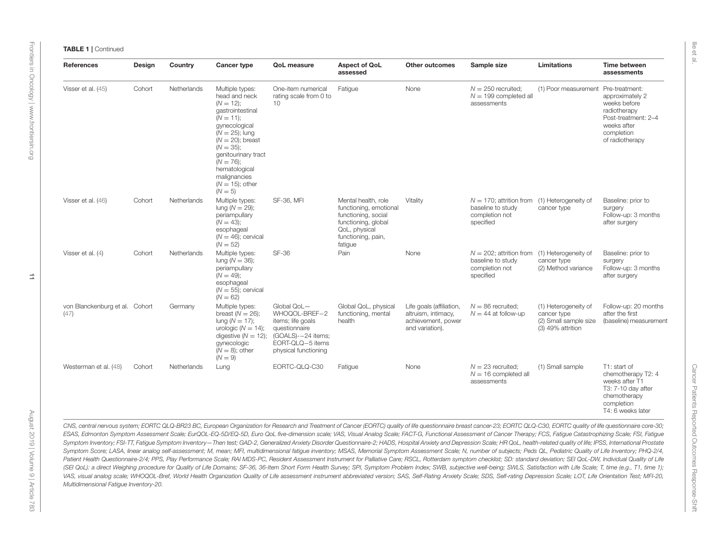| <b>References</b>                      | Design | Country     | <b>Cancer type</b>                                                                                                                                                                                                                                                          | QoL measure                                                                                                                          | <b>Aspect of QoL</b><br>assessed                                                                                                              | <b>Other outcomes</b>                                                                    | Sample size                                                                                         | <b>Limitations</b>                                                                | Time between<br>assessments                                                                                                   |
|----------------------------------------|--------|-------------|-----------------------------------------------------------------------------------------------------------------------------------------------------------------------------------------------------------------------------------------------------------------------------|--------------------------------------------------------------------------------------------------------------------------------------|-----------------------------------------------------------------------------------------------------------------------------------------------|------------------------------------------------------------------------------------------|-----------------------------------------------------------------------------------------------------|-----------------------------------------------------------------------------------|-------------------------------------------------------------------------------------------------------------------------------|
| Visser et al. (45)                     | Cohort | Netherlands | Multiple types:<br>head and neck<br>$(N = 12)$ ;<br>gastrointestinal<br>$(N = 11);$<br>qynecological<br>$(N = 25)$ ; lung<br>$(N = 20)$ ; breast<br>$(N = 35)$ ;<br>genitourinary tract<br>$(N = 76)$ ;<br>hematological<br>malignancies<br>$(N = 15)$ ; other<br>$(N = 5)$ | One-item numerical<br>rating scale from 0 to<br>10                                                                                   | Fatigue                                                                                                                                       | None                                                                                     | $N = 250$ recruited:<br>$N = 199$ completed all<br>assessments                                      | (1) Poor measurement Pre-treatment:                                               | approximately 2<br>weeks before<br>radiotherapy<br>Post-treatment: 2-4<br>weeks after<br>completion<br>of radiotherapy        |
| Visser et al. (46)                     | Cohort | Netherlands | Multiple types:<br>lung ( $N = 29$ );<br>periampullary<br>$(N = 43)$ ;<br>esophageal<br>$(N = 46)$ ; cervical<br>$(N = 52)$                                                                                                                                                 | <b>SF-36, MFI</b>                                                                                                                    | Mental health, role<br>functioning, emotional<br>functioning, social<br>functioning, global<br>QoL, physical<br>functioning, pain,<br>fatigue | Vitality                                                                                 | $N = 170$ ; attrition from (1) Heterogeneity of<br>baseline to study<br>completion not<br>specified | cancer type                                                                       | Baseline: prior to<br>surgery<br>Follow-up: 3 months<br>after surgery                                                         |
| Visser et al. (4)                      | Cohort | Netherlands | Multiple types:<br>lung ( $N = 36$ );<br>periampullary<br>$(N = 49)$ ;<br>esophageal<br>$(N = 55)$ ; cervical<br>$(N = 62)$                                                                                                                                                 | <b>SF-36</b>                                                                                                                         | Pain                                                                                                                                          | None                                                                                     | $N = 202$ ; attrition from (1) Heterogeneity of<br>baseline to study<br>completion not<br>specified | cancer type<br>(2) Method variance                                                | Baseline: prior to<br>surgery<br>Follow-up: 3 months<br>after surgery                                                         |
| von Blanckenburg et al. Cohort<br>(47) |        | Germany     | Multiple types:<br>breast $(N = 26)$ ;<br>lung $(N = 17)$ ;<br>urologic ( $N = 14$ );<br>digestive $(N = 12)$ ;<br>gynecologic<br>$(N = 8)$ ; other<br>$(N = 9)$                                                                                                            | Global QoL-<br>WHOQOL-BREF-2<br>items; life goals<br>questionnaire<br>(GOALS)--24 items;<br>EORT-QLQ-5 items<br>physical functioning | Global QoL, physical<br>functioning, mental<br>health                                                                                         | Life goals (affiliation,<br>altruism, intimacy,<br>achievement, power<br>and variation). | $N = 86$ recruited;<br>$N = 44$ at follow-up                                                        | (1) Heterogeneity of<br>cancer type<br>(2) Small sample size<br>(3) 49% attrition | Follow-up: 20 months<br>after the first<br>(baseline) measurement                                                             |
| Westerman et al. (48)                  | Cohort | Netherlands | Lung                                                                                                                                                                                                                                                                        | EORTC-QLQ-C30                                                                                                                        | Fatigue                                                                                                                                       | None                                                                                     | $N = 23$ recruited;<br>$N = 16$ completed all<br>assessments                                        | (1) Small sample                                                                  | T1: start of<br>chemotherapy T2: 4<br>weeks after T1<br>T3: 7-10 day after<br>chemotherapy<br>completion<br>T4: 6 weeks later |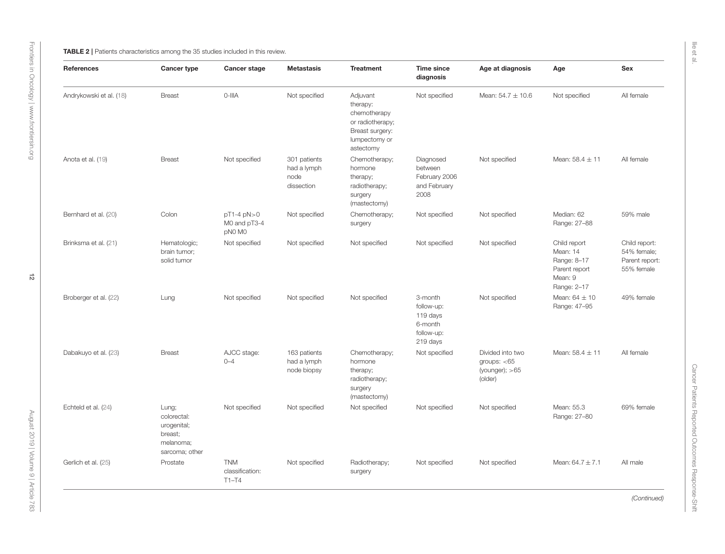<span id="page-11-0"></span>

| References              | <b>Cancer type</b>                                                            | Cancer stage                             | <b>Metastasis</b>                                 | <b>Treatment</b>                                                                                          | <b>Time since</b><br>diagnosis                                         | Age at diagnosis                                                  | Age                                                                                | Sex                                                          |
|-------------------------|-------------------------------------------------------------------------------|------------------------------------------|---------------------------------------------------|-----------------------------------------------------------------------------------------------------------|------------------------------------------------------------------------|-------------------------------------------------------------------|------------------------------------------------------------------------------------|--------------------------------------------------------------|
| Andrykowski et al. (18) | <b>Breast</b>                                                                 | 0-IIIA                                   | Not specified                                     | Adjuvant<br>therapy:<br>chemotherapy<br>or radiotherapy;<br>Breast surgery:<br>lumpectomy or<br>astectomy | Not specified                                                          | Mean: $54.7 \pm 10.6$                                             | Not specified                                                                      | All female                                                   |
| Anota et al. (19)       | <b>Breast</b>                                                                 | Not specified                            | 301 patients<br>had a lymph<br>node<br>dissection | Chemotherapy;<br>hormone<br>therapy;<br>radiotherapy;<br>surgery<br>(mastectomy)                          | Diagnosed<br>between<br>February 2006<br>and February<br>2008          | Not specified                                                     | Mean: $58.4 \pm 11$                                                                | All female                                                   |
| Bernhard et al. (20)    | Colon                                                                         | pT1-4 pN>0<br>M0 and pT3-4<br>pN0 M0     | Not specified                                     | Chemotherapy;<br>surgery                                                                                  | Not specified                                                          | Not specified                                                     | Median: 62<br>Range: 27-88                                                         | 59% male                                                     |
| Brinksma et al. (21)    | Hematologic;<br>brain tumor;<br>solid tumor                                   | Not specified                            | Not specified                                     | Not specified                                                                                             | Not specified                                                          | Not specified                                                     | Child report<br>Mean: 14<br>Range: 8-17<br>Parent report<br>Mean: 9<br>Range: 2-17 | Child report:<br>54% female;<br>Parent report:<br>55% female |
| Broberger et al. (22)   | Lung                                                                          | Not specified                            | Not specified                                     | Not specified                                                                                             | 3-month<br>follow-up:<br>119 days<br>6-month<br>follow-up:<br>219 days | Not specified                                                     | Mean: $64 \pm 10$<br>Range: 47-95                                                  | 49% female                                                   |
| Dabakuyo et al. (23)    | <b>Breast</b>                                                                 | AJCC stage:<br>$0 - 4$                   | 163 patients<br>had a lymph<br>node biopsy        | Chemotherapy;<br>hormone<br>therapy;<br>radiotherapy;<br>surgery<br>(mastectomy)                          | Not specified                                                          | Divided into two<br>groups: $<$ 65<br>(younger); $>65$<br>(older) | Mean: $58.4 \pm 11$                                                                | All female                                                   |
| Echteld et al. (24)     | Lung;<br>colorectal:<br>urogenital;<br>breast;<br>melanoma;<br>sarcoma; other | Not specified                            | Not specified                                     | Not specified                                                                                             | Not specified                                                          | Not specified                                                     | Mean: 55.3<br>Range: 27-80                                                         | 69% female                                                   |
| Gerlich et al. (25)     | Prostate                                                                      | <b>TNM</b><br>classification:<br>$T1-T4$ | Not specified                                     | Radiotherapy;<br>surgery                                                                                  | Not specified                                                          | Not specified                                                     | Mean: $64.7 \pm 7.1$                                                               | All male                                                     |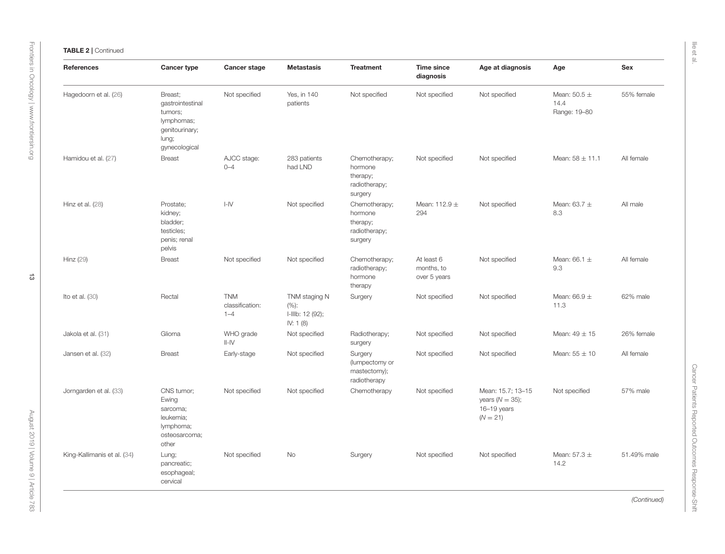| <b>References</b>           | Cancer type                                                                                      | Cancer stage                             | <b>Metastasis</b>                                      | <b>Treatment</b>                                                 | Time since<br>diagnosis                  | Age at diagnosis                                                     | Age                                      | Sex         |
|-----------------------------|--------------------------------------------------------------------------------------------------|------------------------------------------|--------------------------------------------------------|------------------------------------------------------------------|------------------------------------------|----------------------------------------------------------------------|------------------------------------------|-------------|
| Hagedoorn et al. (26)       | Breast;<br>gastrointestinal<br>tumors;<br>lymphomas;<br>genitourinary;<br>lung;<br>gynecological | Not specified                            | Yes, in 140<br>patients                                | Not specified                                                    | Not specified                            | Not specified                                                        | Mean: $50.5 \pm$<br>14.4<br>Range: 19-80 | 55% female  |
| Hamidou et al. (27)         | <b>Breast</b>                                                                                    | AJCC stage:<br>$0 - 4$                   | 283 patients<br>had LND                                | Chemotherapy;<br>hormone<br>therapy;<br>radiotherapy;<br>surgery | Not specified                            | Not specified                                                        | Mean: $58 \pm 11.1$                      | All female  |
| Hinz et al. (28)            | Prostate;<br>kidney;<br>bladder;<br>testicles;<br>penis; renal<br>pelvis                         | $I - IV$                                 | Not specified                                          | Chemotherapy;<br>hormone<br>therapy;<br>radiotherapy;<br>surgery | Mean: $112.9 \pm$<br>294                 | Not specified                                                        | Mean: $63.7 \pm$<br>8.3                  | All male    |
| Hinz (29)                   | <b>Breast</b>                                                                                    | Not specified                            | Not specified                                          | Chemotherapy;<br>radiotherapy;<br>hormone<br>therapy             | At least 6<br>months, to<br>over 5 years | Not specified                                                        | Mean: $66.1 \pm$<br>9.3                  | All female  |
| Ito et al. $(30)$           | Rectal                                                                                           | <b>TNM</b><br>classification:<br>$1 - 4$ | TNM staging N<br>(%):<br>I-IIIb: 12 (92);<br>IV: 1 (8) | Surgery                                                          | Not specified                            | Not specified                                                        | Mean: $66.9 \pm$<br>11.3                 | 62% male    |
| Jakola et al. (31)          | Glioma                                                                                           | WHO grade<br>$  -  \sqrt{}$              | Not specified                                          | Radiotherapy;<br>surgery                                         | Not specified                            | Not specified                                                        | Mean: $49 \pm 15$                        | 26% female  |
| Jansen et al. (32)          | <b>Breast</b>                                                                                    | Early-stage                              | Not specified                                          | Surgery<br>(lumpectomy or<br>mastectomy);<br>radiotherapy        | Not specified                            | Not specified                                                        | Mean: $55 \pm 10$                        | All female  |
| Jorngarden et al. (33)      | CNS tumor;<br>Ewing<br>sarcoma;<br>leukemia;<br>lymphoma;<br>osteosarcoma;<br>other              | Not specified                            | Not specified                                          | Chemotherapy                                                     | Not specified                            | Mean: 15.7; 13-15<br>years $(N = 35)$ ;<br>16-19 years<br>$(N = 21)$ | Not specified                            | 57% male    |
| King-Kallimanis et al. (34) | Lung;<br>pancreatic;<br>esophageal;<br>cervical                                                  | Not specified                            | No                                                     | Surgery                                                          | Not specified                            | Not specified                                                        | Mean: $57.3 \pm$<br>14.2                 | 51.49% male |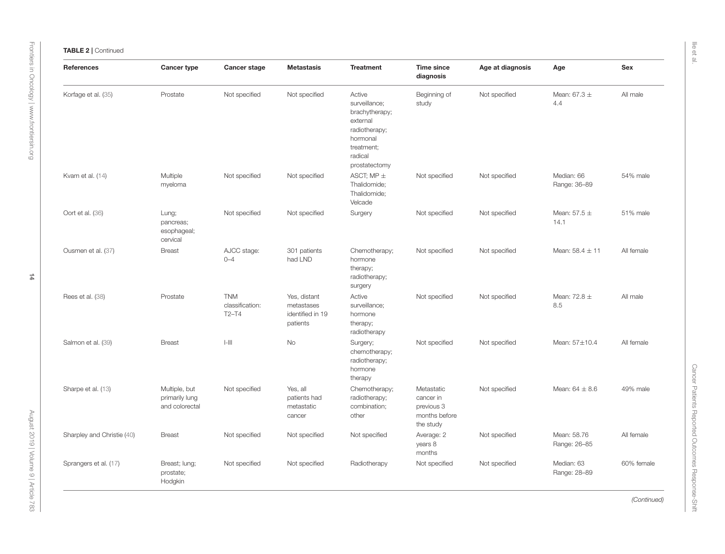| References                 | Cancer type                                       | Cancer stage                             | <b>Metastasis</b>                                          | <b>Treatment</b>                                                                                                             | <b>Time since</b><br>diagnosis                                      | Age at diagnosis | Age                         | Sex        |
|----------------------------|---------------------------------------------------|------------------------------------------|------------------------------------------------------------|------------------------------------------------------------------------------------------------------------------------------|---------------------------------------------------------------------|------------------|-----------------------------|------------|
| Korfage et al. (35)        | Prostate                                          | Not specified                            | Not specified                                              | Active<br>surveillance;<br>brachytherapy;<br>external<br>radiotherapy;<br>hormonal<br>treatment;<br>radical<br>prostatectomy | Beginning of<br>study                                               | Not specified    | Mean: $67.3 \pm$<br>4.4     | All male   |
| Kvam et al. (14)           | Multiple<br>myeloma                               | Not specified                            | Not specified                                              | ASCT; MP $\pm$<br>Thalidomide;<br>Thalidomide;<br>Velcade                                                                    | Not specified                                                       | Not specified    | Median: 66<br>Range: 36-89  | 54% male   |
| Oort et al. (36)           | Lung;<br>pancreas;<br>esophageal;<br>cervical     | Not specified                            | Not specified                                              | Surgery                                                                                                                      | Not specified                                                       | Not specified    | Mean: $57.5 \pm$<br>14.1    | 51% male   |
| Ousmen et al. (37)         | <b>Breast</b>                                     | AJCC stage:<br>$0 - 4$                   | 301 patients<br>had LND                                    | Chemotherapy;<br>hormone<br>therapy;<br>radiotherapy;<br>surgery                                                             | Not specified                                                       | Not specified    | Mean: $58.4 \pm 11$         | All female |
| Rees et al. (38)           | Prostate                                          | <b>TNM</b><br>classification:<br>$T2-T4$ | Yes, distant<br>metastases<br>identified in 19<br>patients | Active<br>surveillance;<br>hormone<br>therapy;<br>radiotherapy                                                               | Not specified                                                       | Not specified    | Mean: $72.8 \pm$<br>8.5     | All male   |
| Salmon et al. (39)         | <b>Breast</b>                                     | $ -   $                                  | <b>No</b>                                                  | Surgery;<br>chemotherapy;<br>radiotherapy;<br>hormone<br>therapy                                                             | Not specified                                                       | Not specified    | Mean: 57±10.4               | All female |
| Sharpe et al. (13)         | Multiple, but<br>primarily lung<br>and colorectal | Not specified                            | Yes, all<br>patients had<br>metastatic<br>cancer           | Chemotherapy;<br>radiotherapy;<br>combination;<br>other                                                                      | Metastatic<br>cancer in<br>previous 3<br>months before<br>the study | Not specified    | Mean: $64 \pm 8.6$          | 49% male   |
| Sharpley and Christie (40) | <b>Breast</b>                                     | Not specified                            | Not specified                                              | Not specified                                                                                                                | Average: 2<br>years 8<br>months                                     | Not specified    | Mean: 58.76<br>Range: 26-85 | All female |
| Sprangers et al. (17)      | Breast; lung;<br>prostate;<br>Hodgkin             | Not specified                            | Not specified                                              | Radiotherapy                                                                                                                 | Not specified                                                       | Not specified    | Median: 63<br>Range: 28-89  | 60% female |

Ilie et al.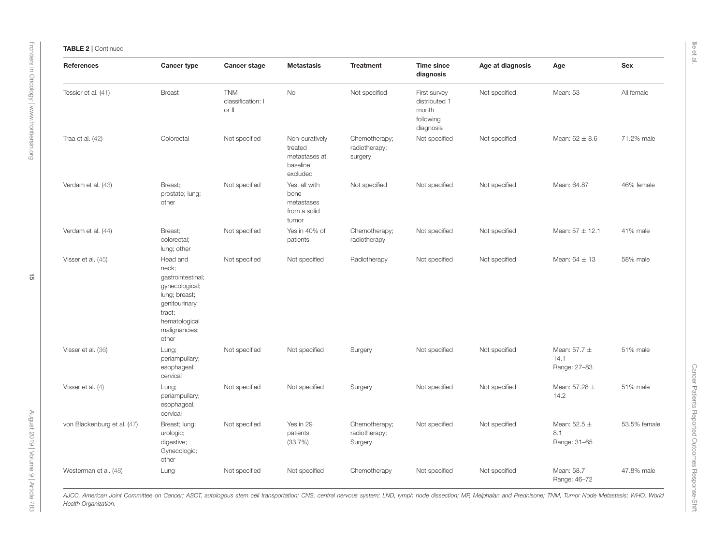| <b>References</b>           | <b>Cancer type</b>                                                                                                                              | Cancer stage                             | <b>Metastasis</b>                                                  | <b>Treatment</b>                          | <b>Time since</b><br>diagnosis                                   | Age at diagnosis | Age                                      | Sex          |
|-----------------------------|-------------------------------------------------------------------------------------------------------------------------------------------------|------------------------------------------|--------------------------------------------------------------------|-------------------------------------------|------------------------------------------------------------------|------------------|------------------------------------------|--------------|
| Tessier et al. (41)         | <b>Breast</b>                                                                                                                                   | <b>TNM</b><br>classification: I<br>or II | <b>No</b>                                                          | Not specified                             | First survey<br>distributed 1<br>month<br>following<br>diagnosis | Not specified    | Mean: 53                                 | All female   |
| Traa et al. $(42)$          | Colorectal                                                                                                                                      | Not specified                            | Non-curatively<br>treated<br>metastases at<br>baseline<br>excluded | Chemotherapy;<br>radiotherapy;<br>surgery | Not specified                                                    | Not specified    | Mean: $62 \pm 8.6$                       | 71.2% male   |
| Verdam et al. (43)          | Breast:<br>prostate; lung;<br>other                                                                                                             | Not specified                            | Yes, all with<br>bone<br>metastases<br>from a solid<br>tumor       | Not specified                             | Not specified                                                    | Not specified    | Mean: 64.87                              | 46% female   |
| Verdam et al. (44)          | Breast:<br>colorectal;<br>lung; other                                                                                                           | Not specified                            | Yes in 40% of<br>patients                                          | Chemotherapy;<br>radiotherapy             | Not specified                                                    | Not specified    | Mean: $57 \pm 12.1$                      | 41% male     |
| Visser et al. (45)          | Head and<br>neck;<br>gastrointestinal;<br>gynecological;<br>lung; breast;<br>genitourinary<br>tract;<br>hematological<br>malignancies;<br>other | Not specified                            | Not specified                                                      | Radiotherapy                              | Not specified                                                    | Not specified    | Mean: $64 \pm 13$                        | 58% male     |
| Visser et al. (36)          | Lung;<br>periampullary;<br>esophageal;<br>cervical                                                                                              | Not specified                            | Not specified                                                      | Surgery                                   | Not specified                                                    | Not specified    | Mean: $57.7 \pm$<br>14.1<br>Range: 27-83 | 51% male     |
| Visser et al. (4)           | Lung;<br>periampullary;<br>esophageal;<br>cervical                                                                                              | Not specified                            | Not specified                                                      | Surgery                                   | Not specified                                                    | Not specified    | Mean: $57.28 \pm$<br>14.2                | 51% male     |
| von Blackenburg et al. (47) | Breast; lung;<br>urologic;<br>digestive;<br>Gynecologic;<br>other                                                                               | Not specified                            | Yes in 29<br>patients<br>(33.7%)                                   | Chemotherapy;<br>radiotherapy;<br>Surgery | Not specified                                                    | Not specified    | Mean: $52.5 \pm$<br>8.1<br>Range: 31-65  | 53.5% female |
| Westerman et al. (48)       | Lung                                                                                                                                            | Not specified                            | Not specified                                                      | Chemotherapy                              | Not specified                                                    | Not specified    | Mean: 58.7<br>Range: 46-72               | 47.8% male   |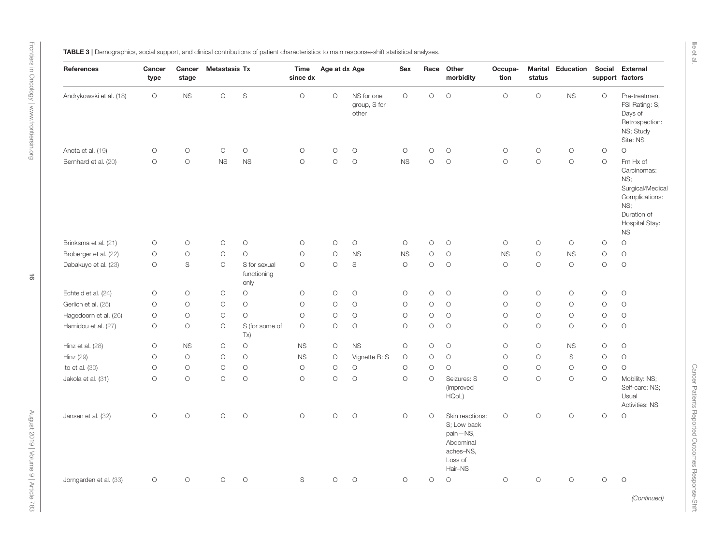<span id="page-15-0"></span>

|  |  |  |  | TABLE 3   Demographics, social support, and clinical contributions of patient characteristics to main response-shift statistical analyses. |  |  |
|--|--|--|--|--------------------------------------------------------------------------------------------------------------------------------------------|--|--|
|--|--|--|--|--------------------------------------------------------------------------------------------------------------------------------------------|--|--|

| References              | Cancer<br>type      | Cancer<br>stage     | <b>Metastasis Tx</b> |                                     | <b>Time</b><br>since dx | Age at dx Age       |                                     | Sex                 |            | Race Other<br>morbidity                                                                    | Occupa-<br>tion | <b>Marital</b><br>status | Education           | Social<br>support factors | External                                                                                                                  |
|-------------------------|---------------------|---------------------|----------------------|-------------------------------------|-------------------------|---------------------|-------------------------------------|---------------------|------------|--------------------------------------------------------------------------------------------|-----------------|--------------------------|---------------------|---------------------------|---------------------------------------------------------------------------------------------------------------------------|
| Andrykowski et al. (18) | $\circlearrowright$ | <b>NS</b>           | $\circlearrowright$  | $\mathbb S$                         | $\circ$                 | $\circ$             | NS for one<br>group, S for<br>other | $\circ$             | $\circ$    | $\circlearrowright$                                                                        | $\circ$         | $\bigcirc$               | <b>NS</b>           | $\bigcirc$                | Pre-treatment<br>FSI Rating: S;<br>Days of<br>Retrospection:<br>NS; Study<br>Site: NS                                     |
| Anota et al. (19)       | $\circlearrowright$ | $\bigcirc$          | $\circlearrowright$  | $\circ$                             | $\bigcirc$              | $\bigcirc$          | $\bigcirc$                          | $\circ$             | $\bigcirc$ | $\bigcirc$                                                                                 | $\circ$         | $\bigcirc$               | $\bigcirc$          | $\bigcirc$                | $\circ$                                                                                                                   |
| Bernhard et al. (20)    | $\bigcirc$          | $\circ$             | <b>NS</b>            | <b>NS</b>                           | $\circ$                 | $\bigcirc$          | $\bigcirc$                          | <b>NS</b>           | $\circ$    | $\bigcirc$                                                                                 | $\circ$         | $\bigcirc$               | $\circ$             | $\circ$                   | Fm Hx of<br>Carcinomas:<br>NS;<br>Surgical/Medical<br>Complications:<br>NS:<br>Duration of<br>Hospital Stay:<br><b>NS</b> |
| Brinksma et al. (21)    | $\circlearrowright$ | $\circlearrowright$ | $\circlearrowright$  | $\circlearrowright$                 | $\circ$                 | $\bigcirc$          | $\bigcirc$                          | $\circlearrowright$ | $\bigcirc$ | $\bigcirc$                                                                                 | $\circ$         | $\bigcirc$               | $\circlearrowright$ | $\bigcirc$                | $\bigcirc$                                                                                                                |
| Broberger et al. (22)   | $\circ$             | $\circ$             | $\circ$              | $\circ$                             | $\circ$                 | $\bigcirc$          | <b>NS</b>                           | <b>NS</b>           | $\bigcirc$ | $\bigcirc$                                                                                 | <b>NS</b>       | $\bigcirc$               | <b>NS</b>           | $\circ$                   | $\bigcirc$                                                                                                                |
| Dabakuyo et al. (23)    | $\bigcirc$          | S                   | $\bigcirc$           | S for sexual<br>functioning<br>only | $\circ$                 | $\bigcirc$          | $\mathbb S$                         | $\circ$             | $\circ$    | $\bigcirc$                                                                                 | $\circ$         | $\circ$                  | $\circ$             | $\circ$                   | $\circ$                                                                                                                   |
| Echteld et al. (24)     | $\circlearrowright$ | $\circlearrowright$ | $\circlearrowright$  | $\circ$                             | $\bigcirc$              | $\bigcirc$          | $\bigcirc$                          | $\bigcirc$          | $\bigcirc$ | $\circlearrowright$                                                                        | $\circ$         | $\bigcirc$               | $\circlearrowright$ | $\circ$                   | $\bigcirc$                                                                                                                |
| Gerlich et al. (25)     | $\bigcirc$          | $\bigcirc$          | $\circlearrowright$  | $\circ$                             | $\bigcirc$              | $\circlearrowright$ | $\bigcirc$                          | $\bigcirc$          | $\bigcirc$ | $\bigcirc$                                                                                 | $\circ$         | $\bigcirc$               | $\bigcirc$          | $\circ$                   | $\bigcirc$                                                                                                                |
| Hagedoorn et al. (26)   | $\bigcirc$          | $\bigcirc$          | $\circlearrowright$  | $\circ$                             | $\circ$                 | $\bigcirc$          | $\bigcirc$                          | $\bigcirc$          | $\bigcirc$ | $\bigcirc$                                                                                 | $\circ$         | $\bigcirc$               | $\bigcirc$          | $\circ$                   | $\bigcirc$                                                                                                                |
| Hamidou et al. (27)     | $\circlearrowright$ | $\circ$             | $\circlearrowright$  | S (for some of<br>Tx)               | $\circlearrowright$     | $\circlearrowright$ | $\bigcirc$                          | $\bigcirc$          | $\bigcirc$ | $\bigcirc$                                                                                 | $\circ$         | $\bigcirc$               | $\bigcirc$          | $\circ$                   | $\bigcirc$                                                                                                                |
| Hinz et al. (28)        | $\circlearrowright$ | <b>NS</b>           | $\circlearrowright$  | $\circ$                             | <b>NS</b>               | $\circlearrowright$ | <b>NS</b>                           | $\bigcirc$          | $\bigcirc$ | $\circlearrowright$                                                                        | $\bigcirc$      | $\bigcirc$               | <b>NS</b>           | $\circ$                   | $\bigcirc$                                                                                                                |
| Hinz (29)               | $\bigcirc$          | $\circ$             | $\bigcirc$           | $\circ$                             | <b>NS</b>               | $\circlearrowright$ | Vignette B: S                       | $\bigcirc$          | $\bigcirc$ | $\bigcirc$                                                                                 | $\circ$         | $\circ$                  | $\mathbb S$         | $\bigcirc$                | $\bigcirc$                                                                                                                |
| Ito et al. (30)         | $\bigcirc$          | $\bigcirc$          | $\bigcirc$           | $\circ$                             | $\bigcirc$              | $\bigcirc$          | $\bigcirc$                          | $\bigcirc$          | $\bigcirc$ | $\circ$                                                                                    | $\circ$         | $\bigcirc$               | $\bigcirc$          | $\bigcirc$                | $\circ$                                                                                                                   |
| Jakola et al. (31)      | $\circ$             | $\circ$             | $\circ$              | $\circ$                             | $\circ$                 | $\circ$             | $\circ$                             | $\circ$             | $\circ$    | Seizures: S<br>(improved<br>HQoL)                                                          | $\circ$         | $\circ$                  | $\circ$             | $\circ$                   | Mobility: NS;<br>Self-care: NS;<br>Usual<br>Activities: NS                                                                |
| Jansen et al. (32)      | $\circlearrowright$ | $\circ$             | $\bigcirc$           | $\circ$                             | $\circ$                 | $\circ$             | $\circ$                             | $\circ$             | $\circ$    | Skin reactions:<br>S; Low back<br>pain-NS,<br>Abdominal<br>aches-NS,<br>Loss of<br>Hair-NS | $\circ$         | $\circ$                  | $\bigcirc$          | $\bigcirc$                | $\bigcirc$                                                                                                                |
| Jorngarden et al. (33)  | $\circ$             | $\bigcirc$          | $\bigcirc$           | $\circlearrowright$                 | $\mathbb S$             | $\bigcirc$          | $\bigcirc$                          | $\bigcirc$          | $\bigcirc$ | $\bigcirc$                                                                                 | $\bigcirc$      | $\bigcirc$               | $\bigcirc$          | $\bigcirc$                | $\bigcirc$                                                                                                                |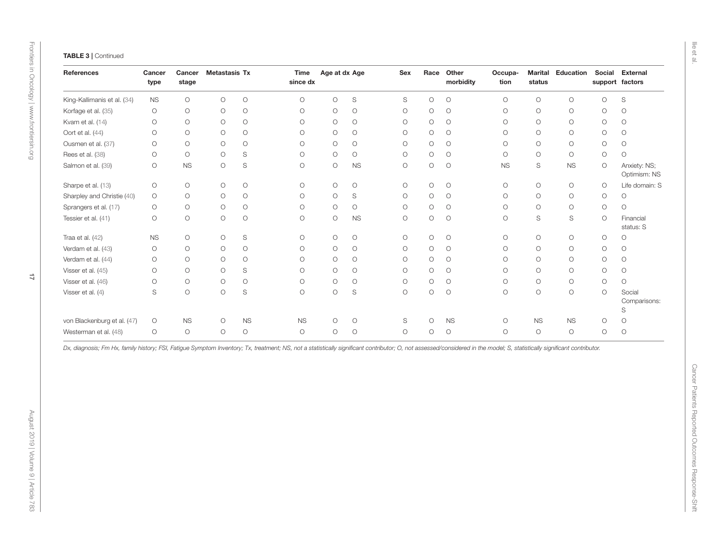|                     | Cancer<br>stage | <b>Metastasis Tx</b> |                     | Time<br>since dx | Age at dx Age       |                     | <b>Sex</b>          | Race                | Other<br>morbidity  | Occupa-<br>tion     | <b>Marital</b><br>status | Education   | Social<br>support factors | <b>External</b>              |
|---------------------|-----------------|----------------------|---------------------|------------------|---------------------|---------------------|---------------------|---------------------|---------------------|---------------------|--------------------------|-------------|---------------------------|------------------------------|
| <b>NS</b>           | $\bigcirc$      | $\bigcirc$           | $\bigcirc$          | $\bigcirc$       | $\bigcirc$          | $\mathbb S$         | $\mathbb S$         | $\circlearrowright$ | $\bigcirc$          | $\bigcirc$          | $\bigcirc$               | $\bigcirc$  | $\bigcirc$                | $\mathbb S$                  |
| $\bigcirc$          | $\bigcirc$      | $\bigcirc$           | $\bigcirc$          | $\circ$          | $\bigcirc$          | $\bigcirc$          | $\bigcirc$          | $\bigcirc$          | $\bigcirc$          | $\bigcirc$          | $\bigcirc$               | $\bigcirc$  | $\bigcirc$                | $\circlearrowright$          |
| $\bigcirc$          | $\bigcirc$      | $\bigcirc$           | $\bigcirc$          | $\bigcirc$       | $\circlearrowright$ | $\bigcirc$          | $\bigcirc$          | $\circlearrowright$ | $\bigcirc$          | $\bigcirc$          | $\bigcirc$               | $\bigcirc$  | $\bigcirc$                | $\circlearrowright$          |
| $\bigcirc$          | $\bigcirc$      | $\bigcirc$           | $\bigcirc$          | $\bigcirc$       | $\bigcirc$          | $\bigcirc$          | $\bigcirc$          | $\bigcirc$          | $\bigcirc$          | $\bigcirc$          | $\bigcirc$               | $\bigcirc$  | $\bigcirc$                | $\circlearrowright$          |
| $\bigcirc$          | $\bigcirc$      | $\circ$              | $\bigcirc$          | $\circ$          | $\bigcirc$          | $\circlearrowright$ | $\bigcirc$          | $\circlearrowright$ | $\bigcirc$          | $\bigcirc$          | $\bigcirc$               | $\bigcirc$  | $\bigcirc$                | $\circlearrowright$          |
| $\circ$             | $\bigcirc$      | $\circ$              | $\mathbb S$         | $\circ$          | $\bigcirc$          | $\bigcirc$          | $\bigcirc$          | $\bigcirc$          | $\bigcirc$          | $\bigcirc$          | $\bigcirc$               | $\bigcirc$  | $\bigcirc$                | $\circ$                      |
| $\bigcirc$          | <b>NS</b>       | O                    | S                   | $\bigcirc$       | $\bigcirc$          | <b>NS</b>           | $\circlearrowright$ | $\circ$             | $\circ$             | <b>NS</b>           | S                        | <b>NS</b>   | $\circlearrowright$       | Anxiety: NS;<br>Optimism: NS |
| $\bigcirc$          | $\bigcirc$      | $\bigcirc$           | $\bigcirc$          | $\bigcirc$       | $\bigcirc$          | $\bigcirc$          | $\bigcirc$          | $\circ$             | $\circlearrowright$ | $\bigcirc$          | $\bigcirc$               | $\bigcirc$  | $\circlearrowright$       | Life domain: S               |
| $\bigcirc$          | $\bigcirc$      | $\bigcirc$           | $\bigcirc$          | $\circ$          | $\bigcirc$          | $\mathbb S$         | $\bigcirc$          | $\circlearrowright$ | $\circlearrowright$ | $\bigcirc$          | $\bigcirc$               | $\bigcirc$  | $\bigcirc$                | $\bigcirc$                   |
| $\bigcirc$          | $\bigcirc$      | $\bigcirc$           | $\bigcirc$          | $\bigcirc$       | $\bigcirc$          | $\bigcirc$          | $\bigcirc$          | $\bigcirc$          | $\bigcirc$          | $\bigcirc$          | $\bigcirc$               | $\bigcirc$  | $\bigcirc$                | $\bigcirc$                   |
| $\circlearrowright$ | $\bigcirc$      | $\circ$              | $\circlearrowright$ | $\circ$          | $\bigcirc$          | <b>NS</b>           | $\bigcirc$          | $\circlearrowright$ | $\bigcirc$          | $\circlearrowright$ | S                        | $\mathbb S$ | $\circlearrowright$       | Financial<br>status: S       |
| <b>NS</b>           | $\bigcirc$      | $\bigcirc$           | S                   | $\bigcirc$       | $\bigcirc$          | $\bigcirc$          | $\bigcirc$          | $\circlearrowright$ | $\circlearrowright$ | $\bigcirc$          | $\bigcirc$               | $\bigcirc$  | $\bigcirc$                | $\circlearrowright$          |
| $\bigcirc$          | $\bigcirc$      | $\bigcirc$           | $\bigcirc$          | $\circ$          | $\bigcirc$          | $\bigcirc$          | $\bigcirc$          | $\circlearrowright$ | $\bigcirc$          | $\bigcirc$          | $\bigcirc$               | $\bigcirc$  | $\bigcirc$                | $\bigcirc$                   |
| $\bigcirc$          | $\bigcirc$      | $\bigcirc$           | $\bigcirc$          | $\circ$          | $\bigcirc$          | $\bigcirc$          | $\bigcirc$          | $\bigcirc$          | $\bigcirc$          | $\bigcirc$          | $\bigcirc$               | $\bigcirc$  | $\bigcirc$                | $\bigcirc$                   |
| $\bigcirc$          | $\bigcirc$      | $\circ$              | S                   | $\circ$          | $\bigcirc$          | $\bigcirc$          | $\circlearrowright$ | $\circlearrowright$ | $\bigcirc$          | $\bigcirc$          | $\bigcirc$               | $\bigcirc$  | $\bigcirc$                | $\circlearrowright$          |
| $\bigcirc$          | $\bigcirc$      | $\bigcirc$           | $\bigcirc$          | $\circ$          | $\circlearrowright$ | $\circlearrowright$ | $\bigcirc$          | $\circlearrowright$ | $\bigcirc$          | $\bigcirc$          | $\bigcirc$               | $\bigcirc$  | $\bigcirc$                | $\bigcirc$                   |
| S                   | $\bigcirc$      | $\bigcirc$           | $\mathbb S$         | $\circ$          | $\bigcirc$          | $\mathbb S$         | $\bigcirc$          | $\circlearrowright$ | $\circlearrowright$ | $\bigcirc$          | $\bigcirc$               | $\bigcirc$  | $\bigcirc$                | Social<br>Comparisons:<br>S  |
| $\circlearrowright$ | $_{\rm NS}$     | $\bigcirc$           | $_{\rm NS}$         | NS               | $\bigcirc$          | $\bigcirc$          | $\mathbb S$         | $\bigcirc$          | <b>NS</b>           | $\bigcirc$          | <b>NS</b>                | $_{\rm NS}$ | $\bigcirc$                | $\bigcirc$                   |
| $\circlearrowright$ | $\bigcirc$      | $\bigcirc$           | $\bigcirc$          | $\bigcirc$       | $\bigcirc$          | $\bigcirc$          | $\bigcirc$          | $\bigcirc$          | $\bigcirc$          | $\bigcirc$          | $\bigcirc$               | $\bigcirc$  | $\bigcirc$                | $\bigcirc$                   |
|                     |                 |                      |                     |                  |                     |                     |                     |                     |                     |                     |                          |             |                           |                              |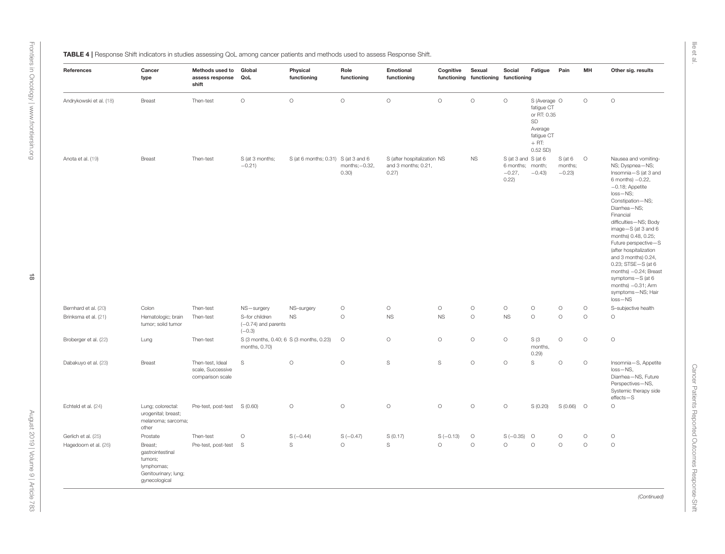<span id="page-17-0"></span>

| TABLE 4   Response Shift indicators in studies assessing QoL among cancer patients and methods used to assess Response Shift. |  |  |
|-------------------------------------------------------------------------------------------------------------------------------|--|--|
|-------------------------------------------------------------------------------------------------------------------------------|--|--|

| References              | Cancer<br>type                                                                                | Methods used to<br>assess response<br>shift               | Global<br>QoL                                            | Physical<br>functioning             | Role<br>functioning        | Emotional<br>functioning                                    | Cognitive   | Sexual<br>functioning functioning functioning | Social                                                       | Fatigue                                                                                           | Pain                              | MH      | Other sig. results                                                                                                                                                                                                                                                                                                                                                                                                                                                 |
|-------------------------|-----------------------------------------------------------------------------------------------|-----------------------------------------------------------|----------------------------------------------------------|-------------------------------------|----------------------------|-------------------------------------------------------------|-------------|-----------------------------------------------|--------------------------------------------------------------|---------------------------------------------------------------------------------------------------|-----------------------------------|---------|--------------------------------------------------------------------------------------------------------------------------------------------------------------------------------------------------------------------------------------------------------------------------------------------------------------------------------------------------------------------------------------------------------------------------------------------------------------------|
| Andrykowski et al. (18) | Breast                                                                                        | Then-test                                                 | $\circ$                                                  | $\circ$                             | $\circ$                    | $\circ$                                                     | $\circ$     | $\circ$                                       | $\circ$                                                      | S (Average O<br>fatigue CT<br>or RT: 0.35<br>SD<br>Average<br>fatigue CT<br>$+$ RT:<br>$0.52$ SD) |                                   | $\circ$ | $\circ$                                                                                                                                                                                                                                                                                                                                                                                                                                                            |
| Anota et al. (19)       | Breast                                                                                        | Then-test                                                 | S (at 3 months;<br>$-0.21$                               | S (at 6 months; 0.31) S (at 3 and 6 | months; $-0.32$ ,<br>0.30) | S (after hospitalization NS<br>and 3 months; 0.21,<br>0.27) |             | $_{\rm NS}$                                   | S (at 3 and S (at 6<br>6 months; month;<br>$-0.27,$<br>0.22) | $-0.43$                                                                                           | $S$ (at 6 0<br>months;<br>$-0.23$ |         | Nausea and vomiting-<br>NS; Dyspnea-NS;<br>Insomnia-S (at 3 and<br>$6$ months) $-0.22$ ,<br>$-0.18$ ; Appetite<br>$loss - NS;$<br>Constipation-NS;<br>Diarrhea-NS;<br>Financial<br>difficulties-NS; Body<br>image $-S$ (at 3 and 6<br>months) 0.48, 0.25;<br>Future perspective-S<br>(after hospitalization<br>and 3 months) 0.24,<br>0.23; STSE-S (at 6<br>months) -0.24; Breast<br>symptoms-S (at 6<br>months) $-0.31$ ; Arm<br>symptoms-NS; Hair<br>$loss - NS$ |
| Bernhard et al. (20)    | Colon                                                                                         | Then-test                                                 | NS-surgery                                               | NS-surgery                          | $\circ$                    | $\circ$                                                     | $\circ$     | $\circ$                                       | $\circ$                                                      | $\circ$                                                                                           | $\circ$                           | $\circ$ | S-subjective health                                                                                                                                                                                                                                                                                                                                                                                                                                                |
| Brinksma et al. (21)    | Hematologic; brain<br>tumor; solid tumor                                                      | Then-test                                                 | S-for children<br>$(-0.74)$ and parents<br>$(-0.3)$      | <b>NS</b>                           | $\circ$                    | <b>NS</b>                                                   | <b>NS</b>   | $\circ$                                       | <b>NS</b>                                                    | $\circ$                                                                                           | $\circ$                           | $\circ$ | $\circ$                                                                                                                                                                                                                                                                                                                                                                                                                                                            |
| Broberger et al. (22)   | Lung                                                                                          | Then-test                                                 | S (3 months, 0.40; 6 S (3 months, 0.23)<br>months, 0.70) |                                     | $\circ$                    | $\circ$                                                     | $\circ$     | $\circ$                                       | $\circ$                                                      | S(3)<br>months,<br>0.29)                                                                          | $\circ$                           | $\circ$ | $\circ$                                                                                                                                                                                                                                                                                                                                                                                                                                                            |
| Dabakuyo et al. (23)    | Breast                                                                                        | Then-test, Ideal<br>scale, Successive<br>comparison scale | $\mathbb S$                                              | $\circ$                             | $\circ$                    | $\mathbb S$                                                 | $\mathbb S$ | $\circ$                                       | $\circ$                                                      | $\mathbb S$                                                                                       | $\circ$                           | $\circ$ | Insomnia-S, Appetite<br>$loss - NS$ ,<br>Diarrhea-NS, Future<br>Perspectives-NS,<br>Systemic therapy side<br>$effects - S$                                                                                                                                                                                                                                                                                                                                         |
| Echteld et al. (24)     | Lung; colorectal:<br>urogenital; breast;<br>melanoma; sarcoma;<br>other                       | Pre-test, post-test                                       | S(0.60)                                                  | $\circ$                             | $\circ$                    | $\circ$                                                     | $\circ$     | $\circ$                                       | $\circ$                                                      | S (0.20)                                                                                          | $S(0.66)$ O                       |         | $\circ$                                                                                                                                                                                                                                                                                                                                                                                                                                                            |
| Gerlich et al. (25)     | Prostate                                                                                      | Then-test                                                 | $\circ$                                                  | $S(-0.44)$                          | $S(-0.47)$                 | S(0.17)                                                     | $S(-0.13)$  | $\circ$                                       | $S(-0.35)$ O                                                 |                                                                                                   | $\circ$                           | $\circ$ | $\circ$                                                                                                                                                                                                                                                                                                                                                                                                                                                            |
| Hagedoorn et al. (26)   | Breast;<br>gastrointestinal<br>tumors;<br>lymphomas;<br>Genitourinary; lung;<br>gynecological | Pre-test, post-test                                       | - S                                                      | S                                   | $\circ$                    | S                                                           | $\circ$     | $\circ$                                       | $\circ$                                                      | $\circ$                                                                                           | $\circ$                           | $\circ$ | $\circ$                                                                                                                                                                                                                                                                                                                                                                                                                                                            |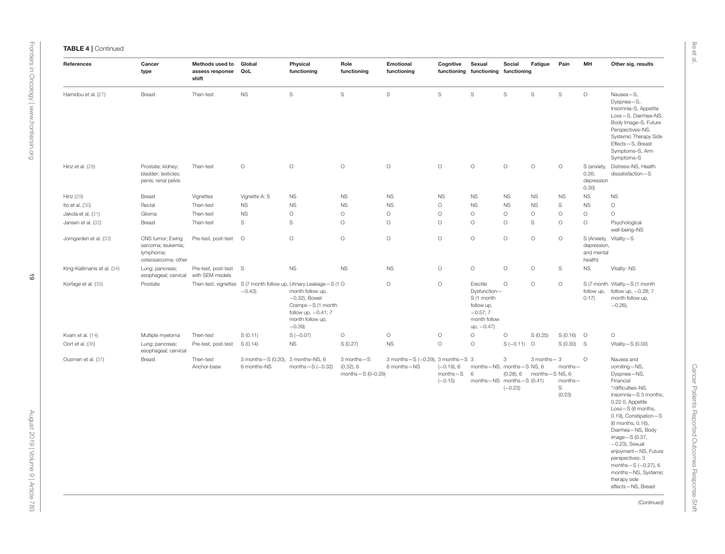| References                  | Cancer<br>type                                                             | Methods used to<br>assess response<br>shift | Global<br>QoL                                    | Physical<br>functioning                                                                                                                                                                 | Role<br>functioning                                 | Emotional<br>functioning                        | Cognitive                                 | Sexual<br>functioning functioning functioning                                                      | Social                         | Fatigue                        | Pain                              | MH                                                  | Other sig. results                                                                                                                                                                                                                                                                                                                                                                        |
|-----------------------------|----------------------------------------------------------------------------|---------------------------------------------|--------------------------------------------------|-----------------------------------------------------------------------------------------------------------------------------------------------------------------------------------------|-----------------------------------------------------|-------------------------------------------------|-------------------------------------------|----------------------------------------------------------------------------------------------------|--------------------------------|--------------------------------|-----------------------------------|-----------------------------------------------------|-------------------------------------------------------------------------------------------------------------------------------------------------------------------------------------------------------------------------------------------------------------------------------------------------------------------------------------------------------------------------------------------|
| Hamidou et al. (27)         | <b>Breast</b>                                                              | Then-test                                   | $_{\rm NS}$                                      | $\mathbb S$                                                                                                                                                                             | $\mathbb S$                                         | S                                               | S                                         | S                                                                                                  | $\mathbb S$                    | $\mathbb S$                    | $\mathbb S$                       | $\circ$                                             | Nausea-S,<br>Dyspnea-S,<br>Insomnia-S, Appetite<br>Loss-S, Diarrhea-NS,<br>Body Image-S, Future<br>Perspectives-NS,<br>Systemic Therapy Side<br>Effects-S, Breast<br>Symptoms-S, Arm<br>Symptoms-S                                                                                                                                                                                        |
| Hinz et al. (28)            | Prostate; kidney;<br>bladder; testicles;<br>penis; renal pelvis            | Then-test                                   | $\circ$                                          | $\circ$                                                                                                                                                                                 | $\circ$                                             | $\circ$                                         | $\circ$                                   | $\circ$                                                                                            | $\circ$                        | $\circ$                        | $\circ$                           | S (anxiety,<br>0.26;<br>depression<br>0.30)         | Distress-NS, Health<br>dissatisfaction-S                                                                                                                                                                                                                                                                                                                                                  |
| Hinz (29)                   | Breast                                                                     | Vignettes                                   | Vignette A: S                                    | <b>NS</b>                                                                                                                                                                               | <b>NS</b>                                           | <b>NS</b>                                       | <b>NS</b>                                 | <b>NS</b>                                                                                          | <b>NS</b>                      | <b>NS</b>                      | <b>NS</b>                         | <b>NS</b>                                           | <b>NS</b>                                                                                                                                                                                                                                                                                                                                                                                 |
| Ito et al. (30)             | Rectal                                                                     | Then-test                                   | <b>NS</b>                                        | <b>NS</b>                                                                                                                                                                               | <b>NS</b>                                           | <b>NS</b>                                       | $\circ$                                   | <b>NS</b>                                                                                          | <b>NS</b>                      | <b>NS</b>                      | S                                 | $_{\rm NS}$                                         | $\circ$                                                                                                                                                                                                                                                                                                                                                                                   |
| Jakola et al. (31)          | Glioma                                                                     | Then-test                                   | <b>NS</b>                                        | $\circ$                                                                                                                                                                                 | $\circ$                                             | $\circ$                                         | $\circ$                                   | $\circ$                                                                                            | $\circ$                        | $\circ$                        | $\circ$                           | $\circ$                                             | $\circ$                                                                                                                                                                                                                                                                                                                                                                                   |
| Jansen et al. (32)          | <b>Breast</b>                                                              | Then-test                                   | S                                                | S                                                                                                                                                                                       | $\circ$                                             | $\circ$                                         | $\circ$                                   | $\circ$                                                                                            | $\circ$                        | S                              | $\circ$                           | $\circ$                                             | Psychological<br>well-being-NS                                                                                                                                                                                                                                                                                                                                                            |
| Jorngarden et al. (33)      | CNS tumor; Ewing<br>sarcoma; leukemia;<br>lymphoma;<br>osteosarcoma; other | Pre-test, post-test O                       |                                                  | $\circ$                                                                                                                                                                                 | $\circ$                                             | $\circ$                                         | $\circ$                                   | $\circ$                                                                                            | $\circ$                        | $\circ$                        | $\circ$                           | S (Anxiety,<br>depression,<br>and mental<br>health) | Vitality-S                                                                                                                                                                                                                                                                                                                                                                                |
| King-Kallimanis et al. (34) | Lung; pancreas;<br>esophageal; cervical                                    | Pre-test, post-test S<br>with SEM models    |                                                  | <b>NS</b>                                                                                                                                                                               | <b>NS</b>                                           | <b>NS</b>                                       | $\circ$                                   | $\circ$                                                                                            | $\circ$                        | $\circ$                        | S                                 | <b>NS</b>                                           | Vitality-NS                                                                                                                                                                                                                                                                                                                                                                               |
| Korfage et al. (35)         | Prostate                                                                   |                                             | $-0.43$                                          | Then-test, vignettes S (7 month follow up, Urinary Leakage-S (1 O<br>month follow up,<br>$-0.32$ ), Bowel<br>Cramps-S (1 month<br>follow up, $-0.41$ ; 7<br>month follow up,<br>$-0.39$ |                                                     | $\circ$                                         | $\circ$                                   | Erectile<br>Dysfunction-<br>S (1 month<br>follow up,<br>$-0.57; 7$<br>month follow<br>$up, -0.47)$ | $\circ$                        | $\circ$                        | $\circ$                           | follow up,<br>0.17)                                 | S (7 month Vitality-S (1 month<br>follow up, -0.28; 7<br>month follow up,<br>$-0.26$ ),                                                                                                                                                                                                                                                                                                   |
| Kvam et al. (14)            | Multiple myeloma                                                           | Then-test                                   | S(0.11)                                          | $S(-0.07)$                                                                                                                                                                              | $\circ$                                             | $\circ$                                         | $\circ$                                   | $\circ$                                                                                            | $\circ$                        | S(0.25)                        | $S(0.16)$ O                       |                                                     | $\circ$                                                                                                                                                                                                                                                                                                                                                                                   |
| Oort et al. (36)            | Lung; pancreas;<br>esophageal; cervical                                    | Pre-test, post-test                         | S(0.14)                                          | <b>NS</b>                                                                                                                                                                               | S(0.27)                                             | <b>NS</b>                                       | $\circ$                                   | $\circ$                                                                                            | $S(-0.11)$ O                   |                                | $S(0.30)$ S                       |                                                     | Vitality $-S(0.00)$                                                                                                                                                                                                                                                                                                                                                                       |
| Ousmen et al. (37)          | <b>Breast</b>                                                              | Then-test<br>Anchor-base                    | 3 months-S (0.20), 3 months-NS, 6<br>6 months-NS | months $-S$ ( $-0.32$ )                                                                                                                                                                 | 3 months-S<br>$(0.32)$ , 6<br>months $-$ S (0-0.29) | 3 months-S (-0.29), 3 months-S 3<br>6 months-NS | $(-0.19), 6$<br>$months - S$<br>$(-0.15)$ | months-NS, months-S NS, 6<br>6<br>months-NS months-S (0.41)                                        | 3<br>$(0.28)$ , 6<br>$(-0.23)$ | 3 months - 3<br>months-S NS, 6 | months-<br>months-<br>S<br>(0.23) | $\circ$                                             | Nausea and<br>vomiting-NS,<br>Dyspnea-NS,<br>Financial<br>*/difficulties-NS,<br>Insomnia-S 3 months,<br>0.22 0, Appetite<br>Loss-S (6 months,<br>0.19), Constipation-S<br>(6 months, 0.16),<br>Diarrhea-NS, Body<br>image-S (0.37,<br>$-0.23$ ), Sexual<br>enjoyment-NS, Future<br>perspectives: 3<br>months $-S$ (-0.27), 6<br>months-NS, Systemic<br>therapy side<br>effects-NS, Breast |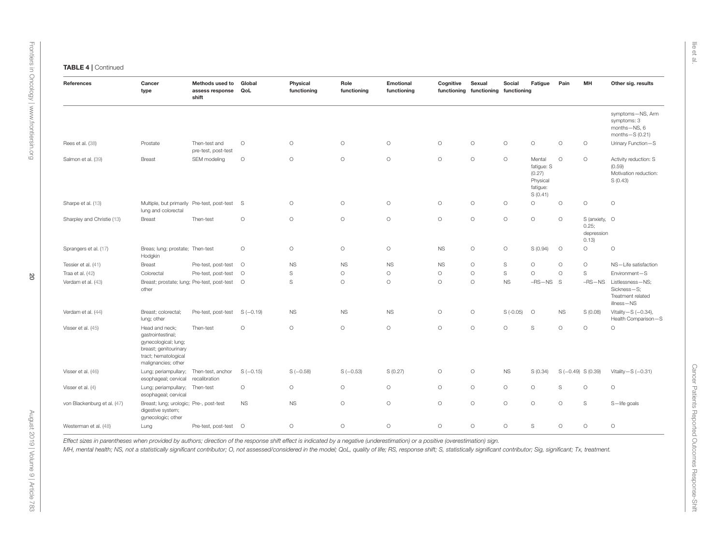| References                  | Cancer<br>type                                                                                                                      | Methods used to<br>assess response QoL<br>shift | Global     | Physical<br>functioning | Role<br>functioning | Emotional<br>functioning | Cognitive | Sexual<br>functioning functioning functioning | Social      | Fatigue                                                           | Pain               | MH                                            | Other sig. results                                                   |
|-----------------------------|-------------------------------------------------------------------------------------------------------------------------------------|-------------------------------------------------|------------|-------------------------|---------------------|--------------------------|-----------|-----------------------------------------------|-------------|-------------------------------------------------------------------|--------------------|-----------------------------------------------|----------------------------------------------------------------------|
|                             |                                                                                                                                     |                                                 |            |                         |                     |                          |           |                                               |             |                                                                   |                    |                                               | symptoms-NS, Arm<br>symptoms: 3<br>months-NS, 6<br>months $-S(0.21)$ |
| Rees et al. (38)            | Prostate                                                                                                                            | Then-test and<br>pre-test, post-test            | $\circ$    | $\circ$                 | $\circ$             | $\circ$                  | $\circ$   | $\circ$                                       | $\circ$     | $\circ$                                                           | $\circ$            | $\circ$                                       | Urinary Function-S                                                   |
| Salmon et al. (39)          | Breast                                                                                                                              | SEM modeling                                    | $\circ$    | $\circ$                 | $\circ$             | $\circ$                  | $\circ$   | $\circ$                                       | $\circ$     | Mental<br>fatigue: S<br>(0.27)<br>Physical<br>fatigue:<br>S(0.41) | $\circ$            | $\circ$                                       | Activity reduction: S<br>(0.59)<br>Motivation reduction:<br>S(0.43)  |
| Sharpe et al. (13)          | Multiple, but primarily Pre-test, post-test<br>lung and colorectal                                                                  |                                                 | S          | $\circ$                 | $\circ$             | $\circ$                  | $\circ$   | $\circ$                                       | $\circ$     | $\circ$                                                           | $\circ$            | $\circ$                                       | $\circ$                                                              |
| Sharpley and Christie (13)  | Breast                                                                                                                              | Then-test                                       | $\circ$    | $\circ$                 | $\circ$             | $\circ$                  | $\circ$   | $\circ$                                       | $\circ$     | $\circ$                                                           | $\circ$            | S (anxiety, O<br>0.25;<br>depression<br>0.13) |                                                                      |
| Sprangers et al. (17)       | Breas; lung; prostate; Then-test<br>Hodgkin                                                                                         |                                                 | $\circ$    | $\circ$                 | $\circ$             | $\circ$                  | <b>NS</b> | $\circ$                                       | $\circ$     | S (0.94)                                                          | $\circ$            | $\circ$                                       | $\circ$                                                              |
| Tessier et al. (41)         | <b>Breast</b>                                                                                                                       | Pre-test, post-test                             | $\circ$    | <b>NS</b>               | <b>NS</b>           | <b>NS</b>                | <b>NS</b> | $\circ$                                       | $\mathbb S$ | $\circ$                                                           | $\circ$            | $\circ$                                       | NS-Life satisfaction                                                 |
| Traa et al. (42)            | Colorectal                                                                                                                          | Pre-test, post-test                             | $\circ$    | S                       | $\circ$             | $\circ$                  | $\circ$   | $\circ$                                       | S           | $\circ$                                                           | $\circ$            | $\mathbb S$                                   | Environment-S                                                        |
| Verdam et al. (43)          | Breast; prostate; lung; Pre-test, post-test O<br>other                                                                              |                                                 |            | S                       | $\circ$             | $\circ$                  | $\circ$   | $\circ$                                       | <b>NS</b>   | $-RS-NS$                                                          | S                  | $-RS-NS$                                      | Listlessness-NS:<br>Sickness-S;<br>Treatment related<br>illness-NS   |
| Verdam et al. (44)          | Breast; colorectal;<br>lung; other                                                                                                  | Pre-test, post-test                             | $S(-0.19)$ | <b>NS</b>               | <b>NS</b>           | <b>NS</b>                | $\circ$   | $\circ$                                       | $S(-0.05)$  | $\circ$                                                           | <b>NS</b>          | S(0.08)                                       | Vitality-S $(-0.34)$ ,<br>Health Comparison-S                        |
| Visser et al. (45)          | Head and neck;<br>gastrointestinal;<br>gynecological; lung;<br>breast; genitourinary<br>tract; hematological<br>malignancies; other | Then-test                                       | $\circ$    | $\circ$                 | $\circ$             | $\circ$                  | $\circ$   | $\circ$                                       | $\circ$     | S                                                                 | $\circ$            | $\circ$                                       | $\circ$                                                              |
| Visser et al. (46)          | Lung; periampullary;<br>esophageal; cervical                                                                                        | Then-test, anchor<br>recalibration              | $S(-0.15)$ | $S(-0.58)$              | $S(-0.53)$          | S(0.27)                  | $\circ$   | $\circ$                                       | <b>NS</b>   | S (0.34)                                                          | $S(-0.49) S(0.39)$ |                                               | Vitality $-S$ (-0.31)                                                |
| Visser et al. (4)           | Lung; periampullary;<br>esophageal; cervical                                                                                        | Then-test                                       | $\circ$    | $\circ$                 | $\circ$             | $\circ$                  | $\circ$   | $\circ$                                       | $\circ$     | $\circ$                                                           | S                  | $\circ$                                       | $\circ$                                                              |
| von Blackenburg et al. (47) | Breast; lung; urologic; Pre-, post-test<br>digestive system;<br>gynecologic; other                                                  |                                                 | <b>NS</b>  | <b>NS</b>               | $\circ$             | $\circ$                  | $\circ$   | $\circ$                                       | $\circ$     | $\circ$                                                           | $\circ$            | S                                             | S-life goals                                                         |
| Westerman et al. (48)       | Lung                                                                                                                                | Pre-test, post-test O                           |            | $\circ$                 | $\circ$             | $\circ$                  | $\circ$   | $\circ$                                       | $\circ$     | $\mathbb S$                                                       | $\circ$            | $\circ$                                       | $\circ$                                                              |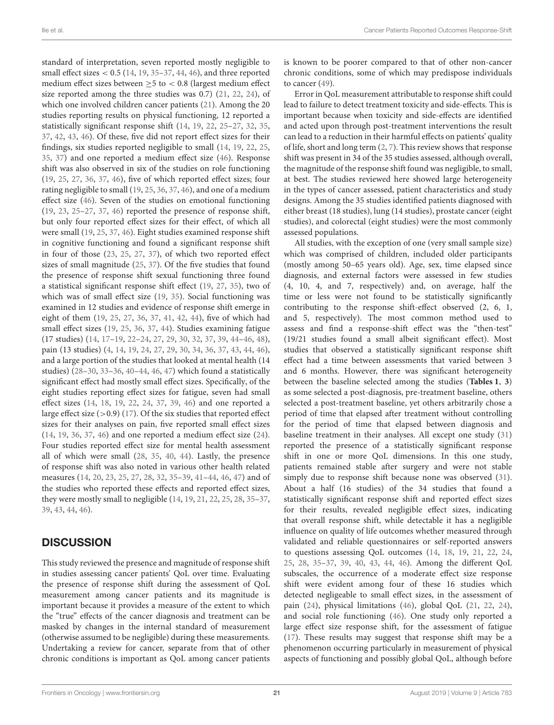standard of interpretation, seven reported mostly negligible to small effect sizes  $< 0.5$  [\(14,](#page-23-11) [19,](#page-23-22) [35](#page-23-35)-37, [44,](#page-24-9) [46\)](#page-24-1), and three reported medium effect sizes between  $\geq$ 5 to < 0.8 (largest medium effect size reported among the three studies was 0.7) [\(21,](#page-23-16) [22,](#page-23-31) [24\)](#page-23-17), of which one involved children cancer patients [\(21\)](#page-23-16). Among the 20 studies reporting results on physical functioning, 12 reported a statistically significant response shift [\(14,](#page-23-11) [19,](#page-23-22) [22,](#page-23-31) [25](#page-23-26)[–27,](#page-23-24) [32,](#page-23-19) [35,](#page-23-35) [37,](#page-23-25) [42,](#page-24-6) [43,](#page-24-0) [46\)](#page-24-1). Of these, five did not report effect sizes for their findings, six studies reported negligible to small [\(14,](#page-23-11) [19,](#page-23-22) [22,](#page-23-31) [25,](#page-23-26) [35,](#page-23-35) [37\)](#page-23-25) and one reported a medium effect size [\(46\)](#page-24-1). Response shift was also observed in six of the studies on role functioning [\(19,](#page-23-22) [25,](#page-23-26) [27,](#page-23-24) [36,](#page-23-21) [37,](#page-23-25) [46\)](#page-24-1), five of which reported effect sizes; four rating negligible to small [\(19,](#page-23-22) [25,](#page-23-26) [36,](#page-23-21) [37,](#page-23-25) [46\)](#page-24-1), and one of a medium effect size [\(46\)](#page-24-1). Seven of the studies on emotional functioning [\(19,](#page-23-22) [23,](#page-23-23) [25](#page-23-26)[–27,](#page-23-24) [37,](#page-23-25) [46\)](#page-24-1) reported the presence of response shift, but only four reported effect sizes for their effect, of which all were small [\(19,](#page-23-22) [25,](#page-23-26) [37,](#page-23-25) [46\)](#page-24-1). Eight studies examined response shift in cognitive functioning and found a significant response shift in four of those [\(23,](#page-23-23) [25,](#page-23-26) [27,](#page-23-24) [37\)](#page-23-25), of which two reported effect sizes of small magnitude [\(25,](#page-23-26) [37\)](#page-23-25). Of the five studies that found the presence of response shift sexual functioning three found a statistical significant response shift effect [\(19,](#page-23-22) [27,](#page-23-24) [35\)](#page-23-35), two of which was of small effect size [\(19,](#page-23-22) [35\)](#page-23-35). Social functioning was examined in 12 studies and evidence of response shift emerge in eight of them [\(19,](#page-23-22) [25,](#page-23-26) [27,](#page-23-24) [36,](#page-23-21) [37,](#page-23-25) [41,](#page-24-4) [42,](#page-24-6) [44\)](#page-24-9), five of which had small effect sizes [\(19,](#page-23-22) [25,](#page-23-26) [36,](#page-23-21) [37,](#page-23-25) [44\)](#page-24-9). Studies examining fatigue (17 studies) [\(14,](#page-23-11) [17](#page-23-15)[–19,](#page-23-22) [22](#page-23-31)[–24,](#page-23-17) [27,](#page-23-24) [29,](#page-23-28) [30,](#page-23-34) [32,](#page-23-19) [37,](#page-23-25) [39,](#page-24-3) [44–](#page-24-9)[46,](#page-24-1) [48\)](#page-24-2), pain (13 studies) [\(4,](#page-23-3) [14,](#page-23-11) [19,](#page-23-22) [24,](#page-23-17) [27,](#page-23-24) [29,](#page-23-28) [30,](#page-23-34) [34,](#page-23-20) [36,](#page-23-21) [37,](#page-23-25) [43,](#page-24-0) [44,](#page-24-9) [46\)](#page-24-1), and a large portion of the studies that looked at mental health (14 studies) [\(28](#page-23-27)[–30,](#page-23-34) [33–](#page-23-32)[36,](#page-23-21) [40](#page-24-8)[–44,](#page-24-9) [46,](#page-24-1) [47\)](#page-24-5) which found a statistically significant effect had mostly small effect sizes. Specifically, of the eight studies reporting effect sizes for fatigue, seven had small effect sizes [\(14,](#page-23-11) [18,](#page-23-29) [19,](#page-23-22) [22,](#page-23-31) [24,](#page-23-17) [37,](#page-23-25) [39,](#page-24-3) [46\)](#page-24-1) and one reported a large effect size  $(>0.9)$  [\(17\)](#page-23-15). Of the six studies that reported effect sizes for their analyses on pain, five reported small effect sizes [\(14,](#page-23-11) [19,](#page-23-22) [36,](#page-23-21) [37,](#page-23-25) [46\)](#page-24-1) and one reported a medium effect size [\(24\)](#page-23-17). Four studies reported effect size for mental health assessment all of which were small [\(28,](#page-23-27) [35,](#page-23-35) [40,](#page-24-8) [44\)](#page-24-9). Lastly, the presence of response shift was also noted in various other health related measures [\(14,](#page-23-11) [20,](#page-23-30) [23,](#page-23-23) [25,](#page-23-26) [27,](#page-23-24) [28,](#page-23-27) [32,](#page-23-19) [35–](#page-23-35)[39,](#page-24-3) [41–](#page-24-4)[44,](#page-24-9) [46,](#page-24-1) [47\)](#page-24-5) and of the studies who reported these effects and reported effect sizes, they were mostly small to negligible [\(14,](#page-23-11) [19,](#page-23-22) [21,](#page-23-16) [22,](#page-23-31) [25,](#page-23-26) [28,](#page-23-27) [35–](#page-23-35)[37,](#page-23-25) [39,](#page-24-3) [43,](#page-24-0) [44,](#page-24-9) [46\)](#page-24-1).

## **DISCUSSION**

This study reviewed the presence and magnitude of response shift in studies assessing cancer patients' QoL over time. Evaluating the presence of response shift during the assessment of QoL measurement among cancer patients and its magnitude is important because it provides a measure of the extent to which the "true" effects of the cancer diagnosis and treatment can be masked by changes in the internal standard of measurement (otherwise assumed to be negligible) during these measurements. Undertaking a review for cancer, separate from that of other chronic conditions is important as QoL among cancer patients is known to be poorer compared to that of other non-cancer chronic conditions, some of which may predispose individuals to cancer [\(49\)](#page-24-22).

Error in QoL measurement attributable to response shift could lead to failure to detect treatment toxicity and side-effects. This is important because when toxicity and side-effects are identified and acted upon through post-treatment interventions the result can lead to a reduction in their harmful effects on patients' quality of life, short and long term [\(2,](#page-23-1) [7\)](#page-23-6). This review shows that response shift was present in 34 of the 35 studies assessed, although overall, the magnitude of the response shift found was negligible, to small, at best. The studies reviewed here showed large heterogeneity in the types of cancer assessed, patient characteristics and study designs. Among the 35 studies identified patients diagnosed with either breast (18 studies), lung (14 studies), prostate cancer (eight studies), and colorectal (eight studies) were the most commonly assessed populations.

All studies, with the exception of one (very small sample size) which was comprised of children, included older participants (mostly among 50–65 years old). Age, sex, time elapsed since diagnosis, and external factors were assessed in few studies (4, 10, 4, and 7, respectively) and, on average, half the time or less were not found to be statistically significantly contributing to the response shift-effect observed (2, 6, 1, and 5, respectively). The most common method used to assess and find a response-shift effect was the "then-test" (19/21 studies found a small albeit significant effect). Most studies that observed a statistically significant response shift effect had a time between assessments that varied between 3 and 6 months. However, there was significant heterogeneity between the baseline selected among the studies (**[Tables 1](#page-5-0)**, **[3](#page-15-0)**) as some selected a post-diagnosis, pre-treatment baseline, others selected a post-treatment baseline, yet others arbitrarily chose a period of time that elapsed after treatment without controlling for the period of time that elapsed between diagnosis and baseline treatment in their analyses. All except one study [\(31\)](#page-23-33) reported the presence of a statistically significant response shift in one or more QoL dimensions. In this one study, patients remained stable after surgery and were not stable simply due to response shift because none was observed [\(31\)](#page-23-33). About a half (16 studies) of the 34 studies that found a statistically significant response shift and reported effect sizes for their results, revealed negligible effect sizes, indicating that overall response shift, while detectable it has a negligible influence on quality of life outcomes whether measured through validated and reliable questionnaires or self-reported answers to questions assessing QoL outcomes [\(14,](#page-23-11) [18,](#page-23-29) [19,](#page-23-22) [21,](#page-23-16) [22,](#page-23-31) [24,](#page-23-17) [25,](#page-23-26) [28,](#page-23-27) [35](#page-23-35)[–37,](#page-23-25) [39,](#page-24-3) [40,](#page-24-8) [43,](#page-24-0) [44,](#page-24-9) [46\)](#page-24-1). Among the different QoL subscales, the occurrence of a moderate effect size response shift were evident among four of these 16 studies which detected negligeable to small effect sizes, in the assessment of pain [\(24\)](#page-23-17), physical limitations [\(46\)](#page-24-1), global QoL [\(21,](#page-23-16) [22,](#page-23-31) [24\)](#page-23-17), and social role functioning [\(46\)](#page-24-1). One study only reported a large effect size response shift, for the assessment of fatigue [\(17\)](#page-23-15). These results may suggest that response shift may be a phenomenon occurring particularly in measurement of physical aspects of functioning and possibly global QoL, although before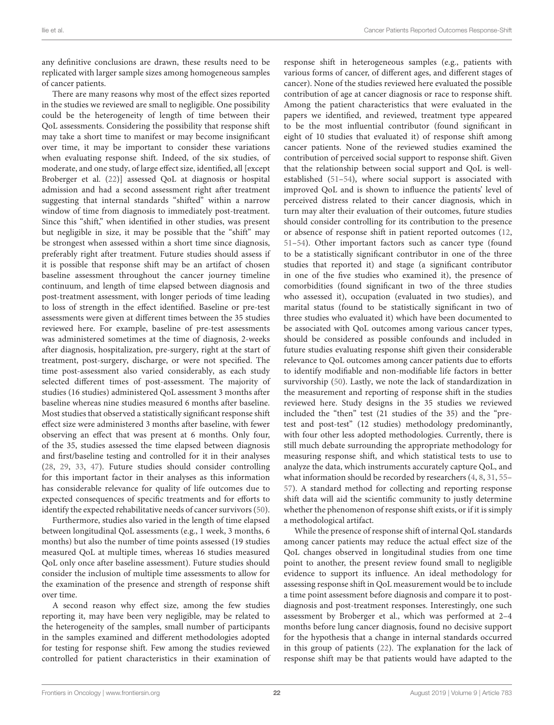any definitive conclusions are drawn, these results need to be replicated with larger sample sizes among homogeneous samples of cancer patients.

There are many reasons why most of the effect sizes reported in the studies we reviewed are small to negligible. One possibility could be the heterogeneity of length of time between their QoL assessments. Considering the possibility that response shift may take a short time to manifest or may become insignificant over time, it may be important to consider these variations when evaluating response shift. Indeed, of the six studies, of moderate, and one study, of large effect size, identified, all [except Broberger et al. [\(22\)](#page-23-31)] assessed QoL at diagnosis or hospital admission and had a second assessment right after treatment suggesting that internal standards "shifted" within a narrow window of time from diagnosis to immediately post-treatment. Since this "shift," when identified in other studies, was present but negligible in size, it may be possible that the "shift" may be strongest when assessed within a short time since diagnosis, preferably right after treatment. Future studies should assess if it is possible that response shift may be an artifact of chosen baseline assessment throughout the cancer journey timeline continuum, and length of time elapsed between diagnosis and post-treatment assessment, with longer periods of time leading to loss of strength in the effect identified. Baseline or pre-test assessments were given at different times between the 35 studies reviewed here. For example, baseline of pre-test assessments was administered sometimes at the time of diagnosis, 2-weeks after diagnosis, hospitalization, pre-surgery, right at the start of treatment, post-surgery, discharge, or were not specified. The time post-assessment also varied considerably, as each study selected different times of post-assessment. The majority of studies (16 studies) administered QoL assessment 3 months after baseline whereas nine studies measured 6 months after baseline. Most studies that observed a statistically significant response shift effect size were administered 3 months after baseline, with fewer observing an effect that was present at 6 months. Only four, of the 35, studies assessed the time elapsed between diagnosis and first/baseline testing and controlled for it in their analyses [\(28,](#page-23-27) [29,](#page-23-28) [33,](#page-23-32) [47\)](#page-24-5). Future studies should consider controlling for this important factor in their analyses as this information has considerable relevance for quality of life outcomes due to expected consequences of specific treatments and for efforts to identify the expected rehabilitative needs of cancer survivors [\(50\)](#page-24-23).

Furthermore, studies also varied in the length of time elapsed between longitudinal QoL assessments (e.g., 1 week, 3 months, 6 months) but also the number of time points assessed (19 studies measured QoL at multiple times, whereas 16 studies measured QoL only once after baseline assessment). Future studies should consider the inclusion of multiple time assessments to allow for the examination of the presence and strength of response shift over time.

A second reason why effect size, among the few studies reporting it, may have been very negligible, may be related to the heterogeneity of the samples, small number of participants in the samples examined and different methodologies adopted for testing for response shift. Few among the studies reviewed controlled for patient characteristics in their examination of response shift in heterogeneous samples (e.g., patients with various forms of cancer, of different ages, and different stages of cancer). None of the studies reviewed here evaluated the possible contribution of age at cancer diagnosis or race to response shift. Among the patient characteristics that were evaluated in the papers we identified, and reviewed, treatment type appeared to be the most influential contributor (found significant in eight of 10 studies that evaluated it) of response shift among cancer patients. None of the reviewed studies examined the contribution of perceived social support to response shift. Given that the relationship between social support and QoL is wellestablished [\(51](#page-24-24)[–54\)](#page-24-25), where social support is associated with improved QoL and is shown to influence the patients' level of perceived distress related to their cancer diagnosis, which in turn may alter their evaluation of their outcomes, future studies should consider controlling for its contribution to the presence or absence of response shift in patient reported outcomes [\(12,](#page-23-12) [51](#page-24-24)[–54\)](#page-24-25). Other important factors such as cancer type (found to be a statistically significant contributor in one of the three studies that reported it) and stage (a significant contributor in one of the five studies who examined it), the presence of comorbidities (found significant in two of the three studies who assessed it), occupation (evaluated in two studies), and marital status (found to be statistically significant in two of three studies who evaluated it) which have been documented to be associated with QoL outcomes among various cancer types, should be considered as possible confounds and included in future studies evaluating response shift given their considerable relevance to QoL outcomes among cancer patients due to efforts to identify modifiable and non-modifiable life factors in better survivorship [\(50\)](#page-24-23). Lastly, we note the lack of standardization in the measurement and reporting of response shift in the studies reviewed here. Study designs in the 35 studies we reviewed included the "then" test (21 studies of the 35) and the "pretest and post-test" (12 studies) methodology predominantly, with four other less adopted methodologies. Currently, there is still much debate surrounding the appropriate methodology for measuring response shift, and which statistical tests to use to analyze the data, which instruments accurately capture QoL, and what information should be recorded by researchers [\(4,](#page-23-3) [8,](#page-23-60) [31,](#page-23-33) [55–](#page-24-26) [57\)](#page-24-27). A standard method for collecting and reporting response shift data will aid the scientific community to justly determine whether the phenomenon of response shift exists, or if it is simply a methodological artifact.

While the presence of response shift of internal QoL standards among cancer patients may reduce the actual effect size of the QoL changes observed in longitudinal studies from one time point to another, the present review found small to negligible evidence to support its influence. An ideal methodology for assessing response shift in QoL measurement would be to include a time point assessment before diagnosis and compare it to postdiagnosis and post-treatment responses. Interestingly, one such assessment by Broberger et al., which was performed at 2–4 months before lung cancer diagnosis, found no decisive support for the hypothesis that a change in internal standards occurred in this group of patients [\(22\)](#page-23-31). The explanation for the lack of response shift may be that patients would have adapted to the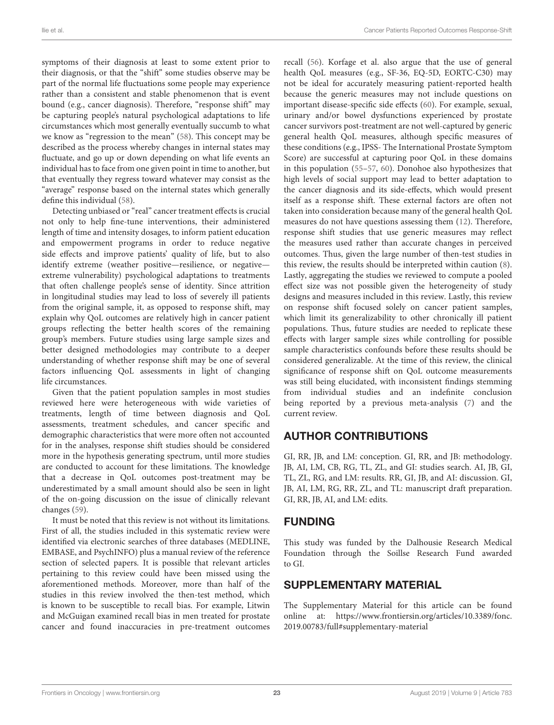symptoms of their diagnosis at least to some extent prior to their diagnosis, or that the "shift" some studies observe may be part of the normal life fluctuations some people may experience rather than a consistent and stable phenomenon that is event bound (e.g., cancer diagnosis). Therefore, "response shift" may be capturing people's natural psychological adaptations to life circumstances which most generally eventually succumb to what we know as "regression to the mean" [\(58\)](#page-24-28). This concept may be described as the process whereby changes in internal states may fluctuate, and go up or down depending on what life events an individual has to face from one given point in time to another, but that eventually they regress toward whatever may consist as the "average" response based on the internal states which generally define this individual [\(58\)](#page-24-28).

Detecting unbiased or "real" cancer treatment effects is crucial not only to help fine-tune interventions, their administered length of time and intensity dosages, to inform patient education and empowerment programs in order to reduce negative side effects and improve patients' quality of life, but to also identify extreme (weather positive—resilience, or negative extreme vulnerability) psychological adaptations to treatments that often challenge people's sense of identity. Since attrition in longitudinal studies may lead to loss of severely ill patients from the original sample, it, as opposed to response shift, may explain why QoL outcomes are relatively high in cancer patient groups reflecting the better health scores of the remaining group's members. Future studies using large sample sizes and better designed methodologies may contribute to a deeper understanding of whether response shift may be one of several factors influencing QoL assessments in light of changing life circumstances.

Given that the patient population samples in most studies reviewed here were heterogeneous with wide varieties of treatments, length of time between diagnosis and QoL assessments, treatment schedules, and cancer specific and demographic characteristics that were more often not accounted for in the analyses, response shift studies should be considered more in the hypothesis generating spectrum, until more studies are conducted to account for these limitations. The knowledge that a decrease in QoL outcomes post-treatment may be underestimated by a small amount should also be seen in light of the on-going discussion on the issue of clinically relevant changes [\(59\)](#page-24-29).

It must be noted that this review is not without its limitations. First of all, the studies included in this systematic review were identified via electronic searches of three databases (MEDLINE, EMBASE, and PsychINFO) plus a manual review of the reference section of selected papers. It is possible that relevant articles pertaining to this review could have been missed using the aforementioned methods. Moreover, more than half of the studies in this review involved the then-test method, which is known to be susceptible to recall bias. For example, Litwin and McGuigan examined recall bias in men treated for prostate cancer and found inaccuracies in pre-treatment outcomes recall [\(56\)](#page-24-30). Korfage et al. also argue that the use of general health QoL measures (e.g., SF-36, EQ-5D, EORTC-C30) may not be ideal for accurately measuring patient-reported health because the generic measures may not include questions on important disease-specific side effects [\(60\)](#page-24-31). For example, sexual, urinary and/or bowel dysfunctions experienced by prostate cancer survivors post-treatment are not well-captured by generic general health QoL measures, although specific measures of these conditions (e.g., IPSS- The International Prostate Symptom Score) are successful at capturing poor QoL in these domains in this population [\(55](#page-24-26)[–57,](#page-24-27) [60\)](#page-24-31). Donohoe also hypothesizes that high levels of social support may lead to better adaptation to the cancer diagnosis and its side-effects, which would present itself as a response shift. These external factors are often not taken into consideration because many of the general health QoL measures do not have questions assessing them [\(12\)](#page-23-12). Therefore, response shift studies that use generic measures may reflect the measures used rather than accurate changes in perceived outcomes. Thus, given the large number of then-test studies in this review, the results should be interpreted within caution [\(8\)](#page-23-60). Lastly, aggregating the studies we reviewed to compute a pooled effect size was not possible given the heterogeneity of study designs and measures included in this review. Lastly, this review on response shift focused solely on cancer patient samples, which limit its generalizability to other chronically ill patient populations. Thus, future studies are needed to replicate these effects with larger sample sizes while controlling for possible sample characteristics confounds before these results should be considered generalizable. At the time of this review, the clinical significance of response shift on QoL outcome measurements was still being elucidated, with inconsistent findings stemming from individual studies and an indefinite conclusion being reported by a previous meta-analysis [\(7\)](#page-23-6) and the current review.

## AUTHOR CONTRIBUTIONS

GI, RR, JB, and LM: conception. GI, RR, and JB: methodology. JB, AI, LM, CB, RG, TL, ZL, and GI: studies search. AI, JB, GI, TL, ZL, RG, and LM: results. RR, GI, JB, and AI: discussion. GI, JB, AI, LM, RG, RR, ZL, and TL: manuscript draft preparation. GI, RR, JB, AI, and LM: edits.

### FUNDING

This study was funded by the Dalhousie Research Medical Foundation through the Soillse Research Fund awarded to GI.

### SUPPLEMENTARY MATERIAL

<span id="page-22-0"></span>The Supplementary Material for this article can be found [online at: https://www.frontiersin.org/articles/10.3389/fonc.](https://www.frontiersin.org/articles/10.3389/fonc.2019.00783/full#supplementary-material) 2019.00783/full#supplementary-material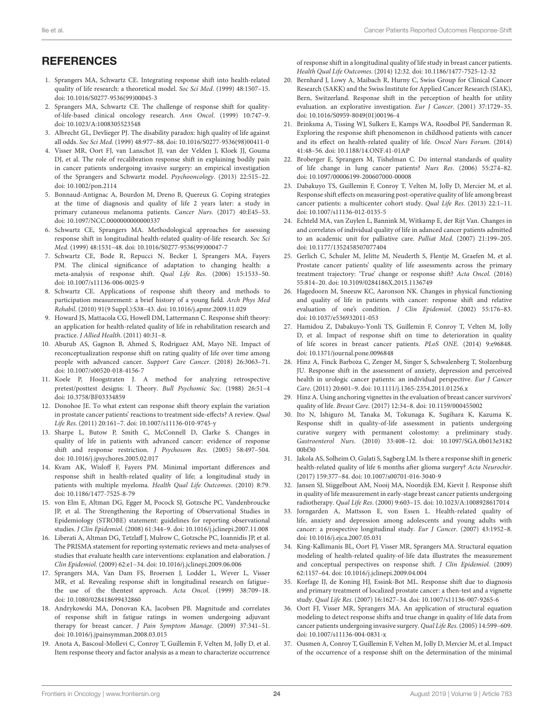## <span id="page-23-58"></span><span id="page-23-37"></span><span id="page-23-36"></span>**REFERENCES**

- <span id="page-23-0"></span>1. Sprangers MA, Schwartz CE. Integrating response shift into health-related quality of life research: a theoretical model. Soc Sci Med. (1999) 48:1507–15. doi: [10.1016/S0277-9536\(99\)00045-3](https://doi.org/10.1016/S0277-9536(99)00045-3)
- <span id="page-23-1"></span>2. Sprangers MA, Schwartz CE. The challenge of response shift for qualityof-life-based clinical oncology research. Ann Oncol. (1999) 10:747–9. doi: [10.1023/A:1008305523548](https://doi.org/10.1023/A:1008305523548)
- <span id="page-23-2"></span>3. Albrecht GL, Devlieger PJ. The disability paradox: high quality of life against all odds. Soc Sci Med. (1999) 48:977–88. doi: [10.1016/S0277-9536\(98\)00411-0](https://doi.org/10.1016/S0277-9536(98)00411-0)
- <span id="page-23-3"></span>4. Visser MR, Oort FJ, van Lanschot JJ, van der Velden J, Kloek JJ, Gouma DJ, et al. The role of recalibration response shift in explaining bodily pain in cancer patients undergoing invasive surgery: an empirical investigation of the Sprangers and Schwartz model. Psychooncology. (2013) 22:515–22. doi: [10.1002/pon.2114](https://doi.org/10.1002/pon.2114)
- <span id="page-23-4"></span>5. Bonnaud-Antignac A, Bourdon M, Dreno B, Quereux G. Coping strategies at the time of diagnosis and quality of life 2 years later: a study in primary cutaneous melanoma patients. Cancer Nurs. (2017) 40:E45–53. doi: [10.1097/NCC.0000000000000337](https://doi.org/10.1097/NCC.0000000000000337)
- <span id="page-23-5"></span>6. Schwartz CE, Sprangers MA. Methodological approaches for assessing response shift in longitudinal health-related quality-of-life research. Soc Sci Med. (1999) 48:1531–48. doi: [10.1016/S0277-9536\(99\)00047-7](https://doi.org/10.1016/S0277-9536(99)00047-7)
- <span id="page-23-6"></span>7. Schwartz CE, Bode R, Repucci N, Becker J, Sprangers MA, Fayers PM. The clinical significance of adaptation to changing health: a meta-analysis of response shift. Qual Life Res. (2006) 15:1533–50. doi: [10.1007/s11136-006-0025-9](https://doi.org/10.1007/s11136-006-0025-9)
- <span id="page-23-60"></span><span id="page-23-56"></span><span id="page-23-55"></span><span id="page-23-53"></span>8. Schwartz CE. Applications of response shift theory and methods to participation measurement: a brief history of a young field. Arch Phys Med Rehabil. (2010) 91(9 Suppl.):S38–43. doi: [10.1016/j.apmr.2009.11.029](https://doi.org/10.1016/j.apmr.2009.11.029)
- <span id="page-23-7"></span>9. Howard JS, Mattacola CG, Howell DM, Lattermann C. Response shift theory: an application for health-related quality of life in rehabilitation research and practice. J Allied Health. (2011) 40:31–8.
- <span id="page-23-8"></span>10. Aburub AS, Gagnon B, Ahmed S, Rodriguez AM, Mayo NE. Impact of reconceptualization response shift on rating quality of life over time among people with advanced cancer. Support Care Cancer. (2018) 26:3063–71. doi: [10.1007/s00520-018-4156-7](https://doi.org/10.1007/s00520-018-4156-7)
- <span id="page-23-9"></span>11. Koele P, Hoogstraten J. A method for analyzing retrospective pretest/posttest designs: I. Theory. Bull Psychomic Soc. (1988) 26:51–4 doi: [10.3758/BF03334859](https://doi.org/10.3758/BF03334859)
- <span id="page-23-12"></span>12. Donohoe JE. To what extent can response shift theory explain the variation in prostate cancer patients' reactions to treatment side-effects? A review. Qual Life Res. (2011) 20:161–7. doi: [10.1007/s11136-010-9745-y](https://doi.org/10.1007/s11136-010-9745-y)
- <span id="page-23-10"></span>13. Sharpe L, Butow P, Smith C, McConnell D, Clarke S. Changes in quality of life in patients with advanced cancer: evidence of response shift and response restriction. J Psychosom Res. (2005) 58:497–504. doi: [10.1016/j.jpsychores.2005.02.017](https://doi.org/10.1016/j.jpsychores.2005.02.017)
- <span id="page-23-11"></span>14. Kvam AK, Wisloff F, Fayers PM. Minimal important differences and response shift in health-related quality of life; a longitudinal study in patients with multiple myeloma. Health Qual Life Outcomes. (2010) 8:79. doi: [10.1186/1477-7525-8-79](https://doi.org/10.1186/1477-7525-8-79)
- <span id="page-23-13"></span>15. von Elm E, Altman DG, Egger M, Pocock SJ, Gotzsche PC, Vandenbroucke JP, et al. The Strengthening the Reporting of Observational Studies in Epidemiology (STROBE) statement: guidelines for reporting observational studies. J Clin Epidemiol. (2008) 61:344–9. doi: [10.1016/j.jclinepi.2007.11.008](https://doi.org/10.1016/j.jclinepi.2007.11.008)
- <span id="page-23-14"></span>16. Liberati A, Altman DG, Tetzlaff J, Mulrow C, Gotzsche PC, Ioannidis JP, et al. The PRISMA statement for reporting systematic reviews and meta-analyses of studies that evaluate health care interventions: explanation and elaboration. J Clin Epidemiol. (2009) 62:e1–34. doi: [10.1016/j.jclinepi.2009.06.006](https://doi.org/10.1016/j.jclinepi.2009.06.006)
- <span id="page-23-15"></span>17. Sprangers MA, Van Dam FS, Broersen J, Lodder L, Wever L, Visser MR, et al. Revealing response shift in longitudinal research on fatigue– the use of the thentest approach. Acta Oncol. (1999) 38:709–18. doi: [10.1080/028418699432860](https://doi.org/10.1080/028418699432860)
- <span id="page-23-29"></span>18. Andrykowski MA, Donovan KA, Jacobsen PB. Magnitude and correlates of response shift in fatigue ratings in women undergoing adjuvant therapy for breast cancer. J Pain Symptom Manage. (2009) 37:341–51. doi: [10.1016/j.jpainsymman.2008.03.015](https://doi.org/10.1016/j.jpainsymman.2008.03.015)
- <span id="page-23-22"></span>19. Anota A, Bascoul-Mollevi C, Conroy T, Guillemin F, Velten M, Jolly D, et al. Item response theory and factor analysis as a mean to characterize occurrence

<span id="page-23-59"></span><span id="page-23-57"></span><span id="page-23-54"></span>of response shift in a longitudinal quality of life study in breast cancer patients. Health Qual Life Outcomes. (2014) 12:32. doi: [10.1186/1477-7525-12-32](https://doi.org/10.1186/1477-7525-12-32)

- <span id="page-23-30"></span>20. Bernhard J, Lowy A, Maibach R, Hurny C, Swiss Group for Clinical Cancer Research (SAKK) and the Swiss Institute for Applied Cancer Research (SIAK), Bern, Switzerland. Response shift in the perception of health for utility evaluation. an explorative investigation. Eur J Cancer. (2001) 37:1729–35. doi: [10.1016/S0959-8049\(01\)00196-4](https://doi.org/10.1016/S0959-8049(01)00196-4)
- <span id="page-23-16"></span>21. Brinksma A, Tissing WJ, Sulkers E, Kamps WA, Roodbol PF, Sanderman R. Exploring the response shift phenomenon in childhood patients with cancer and its effect on health-related quality of life. Oncol Nurs Forum. (2014) 41:48–56. doi: [10.1188/14.ONF.41-01AP](https://doi.org/10.1188/14.ONF.41-01AP)
- <span id="page-23-31"></span>22. Broberger E, Sprangers M, Tishelman C. Do internal standards of quality of life change in lung cancer patients? Nurs Res. (2006) 55:274–82. doi: [10.1097/00006199-200607000-00008](https://doi.org/10.1097/00006199-200607000-00008)
- <span id="page-23-23"></span>23. Dabakuyo TS, Guillemin F, Conroy T, Velten M, Jolly D, Mercier M, et al. Response shift effects on measuring post-operative quality of life among breast cancer patients: a multicenter cohort study. Qual Life Res. (2013) 22:1–11. doi: [10.1007/s11136-012-0135-5](https://doi.org/10.1007/s11136-012-0135-5)
- <span id="page-23-17"></span>24. Echteld MA, van Zuylen L, Bannink M, Witkamp E, der Rijt Van. Changes in and correlates of individual quality of life in adanced cancer patients admitted to an academic unit for palliative care. Palliat Med. (2007) 21:199–205. doi: [10.1177/1352458507077404](https://doi.org/10.1177/1352458507077404)
- <span id="page-23-26"></span>25. Gerlich C, Schuler M, Jelitte M, Neuderth S, Flentje M, Graefen M, et al. Prostate cancer patients' quality of life assessments across the primary treatment trajectory: 'True' change or response shift? Acta Oncol. (2016) 55:814–20. doi: [10.3109/0284186X.2015.1136749](https://doi.org/10.3109/0284186X.2015.1136749)
- <span id="page-23-52"></span><span id="page-23-51"></span><span id="page-23-50"></span><span id="page-23-49"></span><span id="page-23-48"></span><span id="page-23-47"></span><span id="page-23-46"></span><span id="page-23-45"></span><span id="page-23-44"></span><span id="page-23-43"></span><span id="page-23-42"></span><span id="page-23-41"></span><span id="page-23-40"></span><span id="page-23-39"></span><span id="page-23-38"></span><span id="page-23-18"></span>26. Hagedoorn M, Sneeuw KC, Aaronson NK. Changes in physical functioning and quality of life in patients with cancer: response shift and relative evaluation of one's condition. J Clin Epidemiol. (2002) 55:176–83. doi: [10.1037/e536932011-053](https://doi.org/10.1037/e536932011-053)
- <span id="page-23-24"></span>27. Hamidou Z, Dabakuyo-Yonli TS, Guillemin F, Conroy T, Velten M, Jolly D, et al. Impact of response shift on time to deterioration in quality of life scores in breast cancer patients. PLoS ONE. (2014) 9:e96848. doi: [10.1371/journal.pone.0096848](https://doi.org/10.1371/journal.pone.0096848)
- <span id="page-23-27"></span>28. Hinz A, Finck Barboza C, Zenger M, Singer S, Schwalenberg T, Stolzenburg JU. Response shift in the assessment of anxiety, depression and perceived health in urologic cancer patients: an individual perspective. Eur J Cancer Care. (2011) 20:601–9. doi: [10.1111/j.1365-2354.2011.01256.x](https://doi.org/10.1111/j.1365-2354.2011.01256.x)
- <span id="page-23-28"></span>29. Hinz A. Using anchoring vignettes in the evaluation of breast cancer survivors' quality of life. Breast Care. (2017) 12:34–8. doi: [10.1159/000455002](https://doi.org/10.1159/000455002)
- <span id="page-23-34"></span>30. Ito N, Ishiguro M, Tanaka M, Tokunaga K, Sugihara K, Kazuma K. Response shift in quality-of-life assessment in patients undergoing curative surgery with permanent colostomy: a preliminary study. Gastroenterol Nurs[. \(2010\) 33:408–12. doi: 10.1097/SGA.0b013e3182](https://doi.org/10.1097/SGA.0b013e318200bf30) 00bf30
- <span id="page-23-33"></span>31. Jakola AS, Solheim O, Gulati S, Sagberg LM. Is there a response shift in generic health-related quality of life 6 months after glioma surgery? Acta Neurochir. (2017) 159:377–84. doi: [10.1007/s00701-016-3040-9](https://doi.org/10.1007/s00701-016-3040-9)
- <span id="page-23-19"></span>32. Jansen SJ, Stiggelbout AM, Nooij MA, Noordijk EM, Kievit J. Response shift in quality of life measurement in early-stage breast cancer patients undergoing radiotherapy. Qual Life Res. (2000) 9:603–15. doi: [10.1023/A:1008928617014](https://doi.org/10.1023/A:1008928617014)
- <span id="page-23-32"></span>33. Jorngarden A, Mattsson E, von Essen L. Health-related quality of life, anxiety and depression among adolescents and young adults with cancer: a prospective longitudinal study. Eur J Cancer. (2007) 43:1952–8. doi: [10.1016/j.ejca.2007.05.031](https://doi.org/10.1016/j.ejca.2007.05.031)
- <span id="page-23-20"></span>34. King-Kallimanis BL, Oort FJ, Visser MR, Sprangers MA. Structural equation modeling of health-related quality-of-life data illustrates the measurement and conceptual perspectives on response shift. J Clin Epidemiol. (2009) 62:1157–64. doi: [10.1016/j.jclinepi.2009.04.004](https://doi.org/10.1016/j.jclinepi.2009.04.004)
- <span id="page-23-35"></span>35. Korfage IJ, de Koning HJ, Essink-Bot ML. Response shift due to diagnosis and primary treatment of localized prostate cancer: a then-test and a vignette study. Qual Life Res. (2007) 16:1627–34. doi: [10.1007/s11136-007-9265-6](https://doi.org/10.1007/s11136-007-9265-6)
- <span id="page-23-21"></span>36. Oort FJ, Visser MR, Sprangers MA. An application of structural equation modeling to detect response shifts and true change in quality of life data from cancer patients undergoing invasive surgery. Qual Life Res. (2005) 14:599–609. doi: [10.1007/s11136-004-0831-x](https://doi.org/10.1007/s11136-004-0831-x)
- <span id="page-23-25"></span>37. Ousmen A, Conroy T, Guillemin F, Velten M, Jolly D, Mercier M, et al. Impact of the occurrence of a response shift on the determination of the minimal